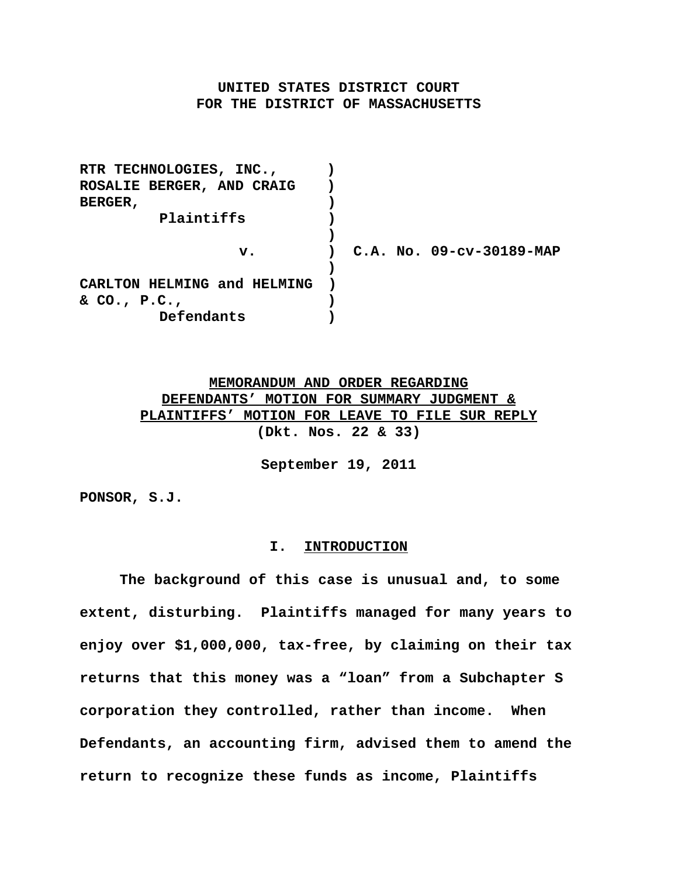# **UNITED STATES DISTRICT COURT FOR THE DISTRICT OF MASSACHUSETTS**

**RTR TECHNOLOGIES, INC., ) ROSALIE BERGER, AND CRAIG ) BERGER, ) Plaintiffs ) ) v. ) C.A. No. 09-cv-30189-MAP ) CARLTON HELMING and HELMING ) & CO., P.C., ) Defendants )**

> **MEMORANDUM AND ORDER REGARDING DEFENDANTS' MOTION FOR SUMMARY JUDGMENT & PLAINTIFFS' MOTION FOR LEAVE TO FILE SUR REPLY (Dkt. Nos. 22 & 33)**

> > **September 19, 2011**

**PONSOR, S.J.**

## **I. INTRODUCTION**

**The background of this case is unusual and, to some extent, disturbing. Plaintiffs managed for many years to enjoy over \$1,000,000, tax-free, by claiming on their tax returns that this money was a "loan" from a Subchapter S corporation they controlled, rather than income. When Defendants, an accounting firm, advised them to amend the return to recognize these funds as income, Plaintiffs**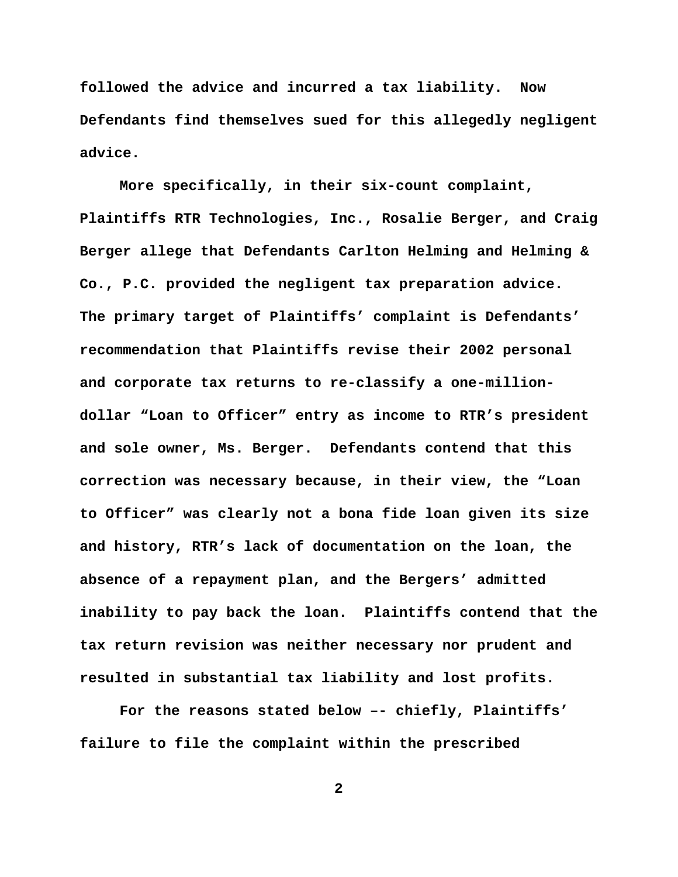**followed the advice and incurred a tax liability. Now Defendants find themselves sued for this allegedly negligent advice.**

**More specifically, in their six-count complaint, Plaintiffs RTR Technologies, Inc., Rosalie Berger, and Craig Berger allege that Defendants Carlton Helming and Helming & Co., P.C. provided the negligent tax preparation advice. The primary target of Plaintiffs' complaint is Defendants' recommendation that Plaintiffs revise their 2002 personal and corporate tax returns to re-classify a one-milliondollar "Loan to Officer" entry as income to RTR's president and sole owner, Ms. Berger. Defendants contend that this correction was necessary because, in their view, the "Loan to Officer" was clearly not a bona fide loan given its size and history, RTR's lack of documentation on the loan, the absence of a repayment plan, and the Bergers' admitted inability to pay back the loan. Plaintiffs contend that the tax return revision was neither necessary nor prudent and resulted in substantial tax liability and lost profits.** 

**For the reasons stated below –- chiefly, Plaintiffs' failure to file the complaint within the prescribed**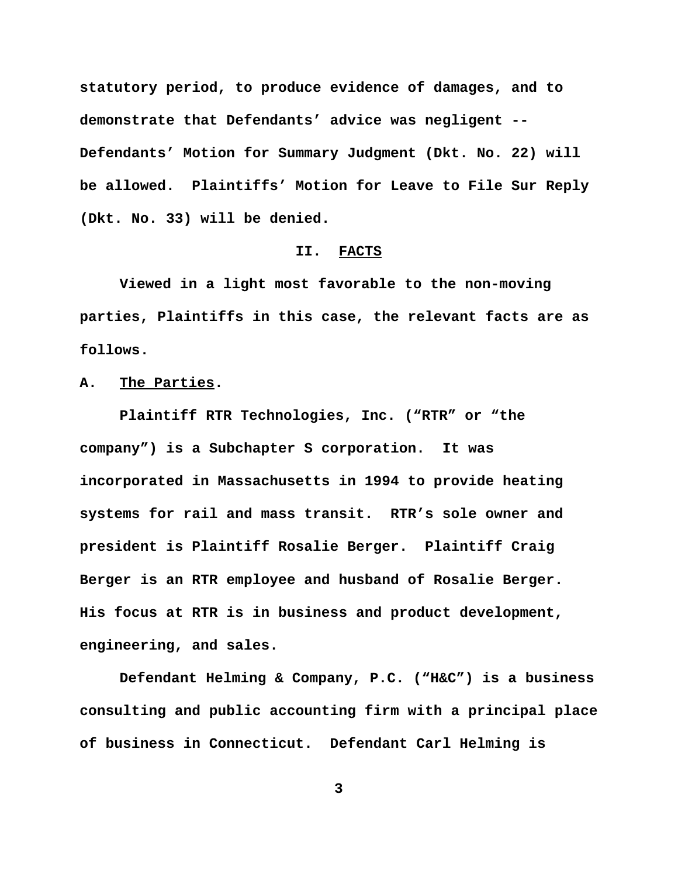**statutory period, to produce evidence of damages, and to demonstrate that Defendants' advice was negligent -- Defendants' Motion for Summary Judgment (Dkt. No. 22) will be allowed. Plaintiffs' Motion for Leave to File Sur Reply (Dkt. No. 33) will be denied.** 

#### **II. FACTS**

**Viewed in a light most favorable to the non-moving parties, Plaintiffs in this case, the relevant facts are as follows.**

**A. The Parties.**

**Plaintiff RTR Technologies, Inc. ("RTR" or "the company") is a Subchapter S corporation. It was incorporated in Massachusetts in 1994 to provide heating systems for rail and mass transit. RTR's sole owner and president is Plaintiff Rosalie Berger. Plaintiff Craig Berger is an RTR employee and husband of Rosalie Berger. His focus at RTR is in business and product development, engineering, and sales.** 

**Defendant Helming & Company, P.C. ("H&C") is a business consulting and public accounting firm with a principal place of business in Connecticut. Defendant Carl Helming is**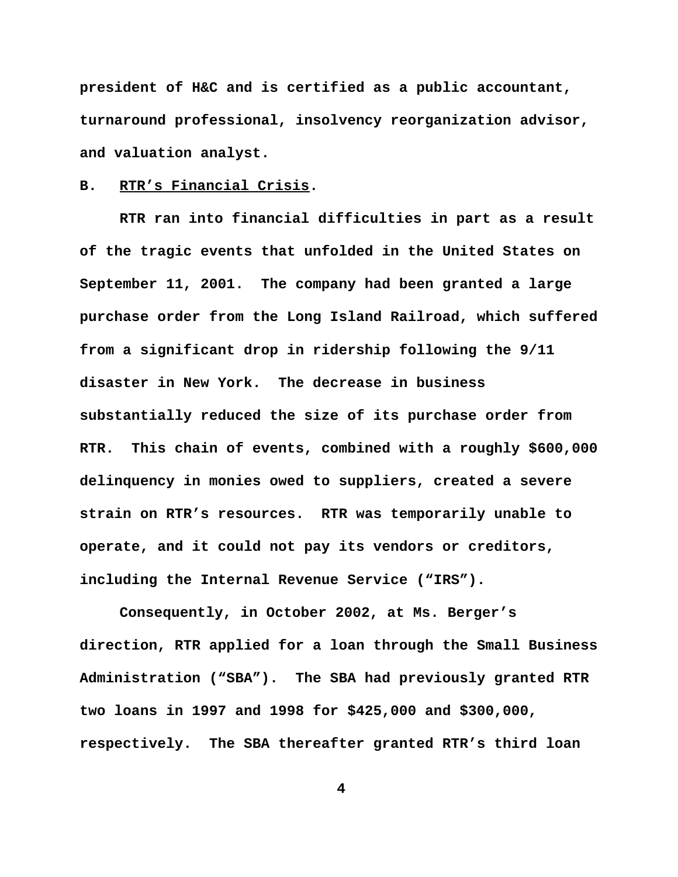**president of H&C and is certified as a public accountant, turnaround professional, insolvency reorganization advisor, and valuation analyst.** 

### **B. RTR's Financial Crisis.**

**RTR ran into financial difficulties in part as a result of the tragic events that unfolded in the United States on September 11, 2001. The company had been granted a large purchase order from the Long Island Railroad, which suffered from a significant drop in ridership following the 9/11 disaster in New York. The decrease in business substantially reduced the size of its purchase order from RTR. This chain of events, combined with a roughly \$600,000 delinquency in monies owed to suppliers, created a severe strain on RTR's resources. RTR was temporarily unable to operate, and it could not pay its vendors or creditors, including the Internal Revenue Service ("IRS").** 

**Consequently, in October 2002, at Ms. Berger's direction, RTR applied for a loan through the Small Business Administration ("SBA"). The SBA had previously granted RTR two loans in 1997 and 1998 for \$425,000 and \$300,000, respectively. The SBA thereafter granted RTR's third loan**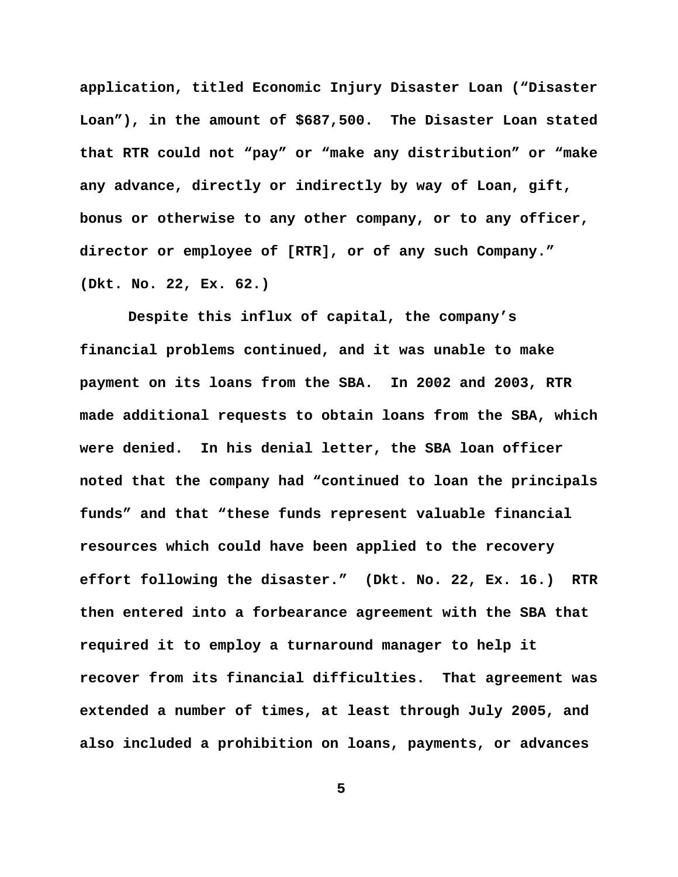**application, titled Economic Injury Disaster Loan ("Disaster Loan"), in the amount of \$687,500. The Disaster Loan stated that RTR could not "pay" or "make any distribution" or "make any advance, directly or indirectly by way of Loan, gift, bonus or otherwise to any other company, or to any officer, director or employee of [RTR], or of any such Company." (Dkt. No. 22, Ex. 62.)** 

 **Despite this influx of capital, the company's financial problems continued, and it was unable to make payment on its loans from the SBA. In 2002 and 2003, RTR made additional requests to obtain loans from the SBA, which were denied. In his denial letter, the SBA loan officer noted that the company had "continued to loan the principals funds" and that "these funds represent valuable financial resources which could have been applied to the recovery effort following the disaster." (Dkt. No. 22, Ex. 16.) RTR then entered into a forbearance agreement with the SBA that required it to employ a turnaround manager to help it recover from its financial difficulties. That agreement was extended a number of times, at least through July 2005, and also included a prohibition on loans, payments, or advances**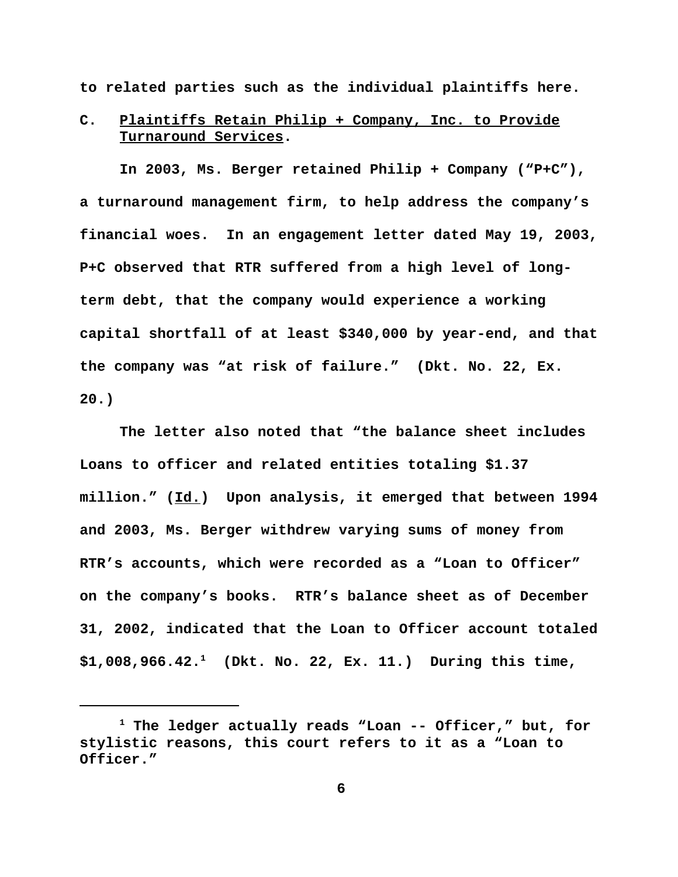**to related parties such as the individual plaintiffs here.** 

# **C. Plaintiffs Retain Philip + Company, Inc. to Provide Turnaround Services.**

**In 2003, Ms. Berger retained Philip + Company ("P+C"), a turnaround management firm, to help address the company's financial woes. In an engagement letter dated May 19, 2003, P+C observed that RTR suffered from a high level of longterm debt, that the company would experience a working capital shortfall of at least \$340,000 by year-end, and that the company was "at risk of failure." (Dkt. No. 22, Ex. 20.)** 

**The letter also noted that "the balance sheet includes Loans to officer and related entities totaling \$1.37 million." (Id.) Upon analysis, it emerged that between 1994 and 2003, Ms. Berger withdrew varying sums of money from RTR's accounts, which were recorded as a "Loan to Officer" on the company's books. RTR's balance sheet as of December 31, 2002, indicated that the Loan to Officer account totaled \$1,008,966.42.1 (Dkt. No. 22, Ex. 11.) During this time,**

**<sup>1</sup> The ledger actually reads "Loan -- Officer," but, for stylistic reasons, this court refers to it as a "Loan to Officer."**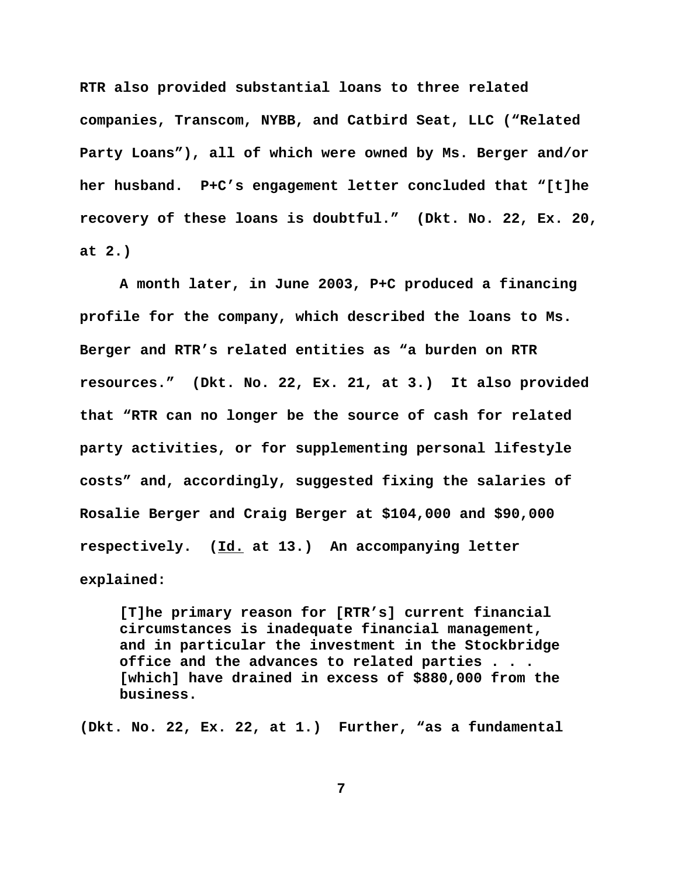**RTR also provided substantial loans to three related companies, Transcom, NYBB, and Catbird Seat, LLC ("Related Party Loans"), all of which were owned by Ms. Berger and/or her husband. P+C's engagement letter concluded that "[t]he recovery of these loans is doubtful." (Dkt. No. 22, Ex. 20, at 2.)**

**A month later, in June 2003, P+C produced a financing profile for the company, which described the loans to Ms. Berger and RTR's related entities as "a burden on RTR resources." (Dkt. No. 22, Ex. 21, at 3.) It also provided that "RTR can no longer be the source of cash for related party activities, or for supplementing personal lifestyle costs" and, accordingly, suggested fixing the salaries of Rosalie Berger and Craig Berger at \$104,000 and \$90,000 respectively. (Id. at 13.) An accompanying letter explained:** 

**[T]he primary reason for [RTR's] current financial circumstances is inadequate financial management, and in particular the investment in the Stockbridge office and the advances to related parties . . . [which] have drained in excess of \$880,000 from the business.** 

**(Dkt. No. 22, Ex. 22, at 1.) Further, "as a fundamental**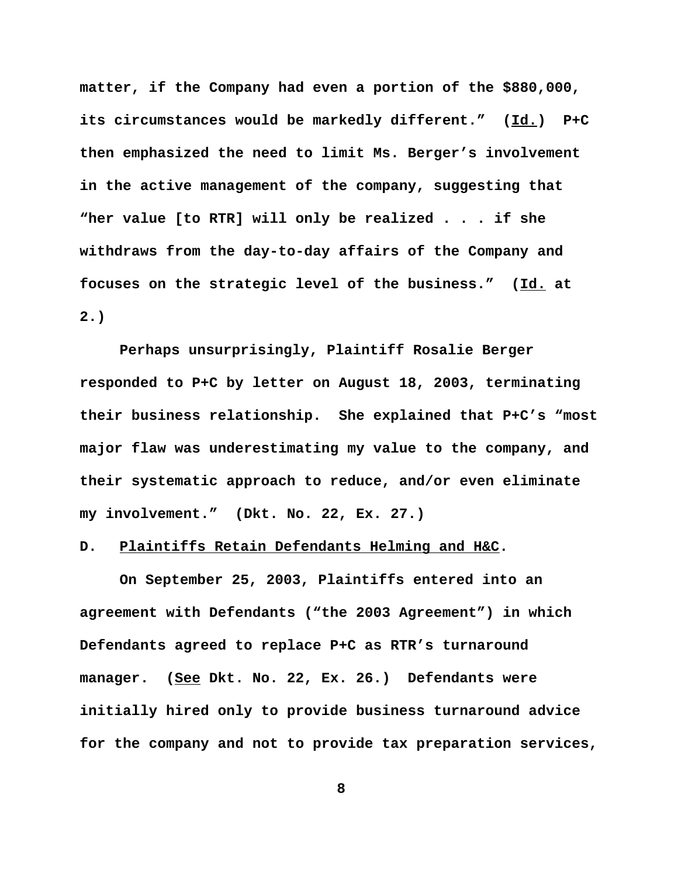**matter, if the Company had even a portion of the \$880,000, its circumstances would be markedly different." (Id.) P+C then emphasized the need to limit Ms. Berger's involvement in the active management of the company, suggesting that "her value [to RTR] will only be realized . . . if she withdraws from the day-to-day affairs of the Company and focuses on the strategic level of the business." (Id. at 2.)**

**Perhaps unsurprisingly, Plaintiff Rosalie Berger responded to P+C by letter on August 18, 2003, terminating their business relationship. She explained that P+C's "most major flaw was underestimating my value to the company, and their systematic approach to reduce, and/or even eliminate my involvement." (Dkt. No. 22, Ex. 27.)** 

## **D. Plaintiffs Retain Defendants Helming and H&C.**

**On September 25, 2003, Plaintiffs entered into an agreement with Defendants ("the 2003 Agreement") in which Defendants agreed to replace P+C as RTR's turnaround manager. (See Dkt. No. 22, Ex. 26.) Defendants were initially hired only to provide business turnaround advice for the company and not to provide tax preparation services,**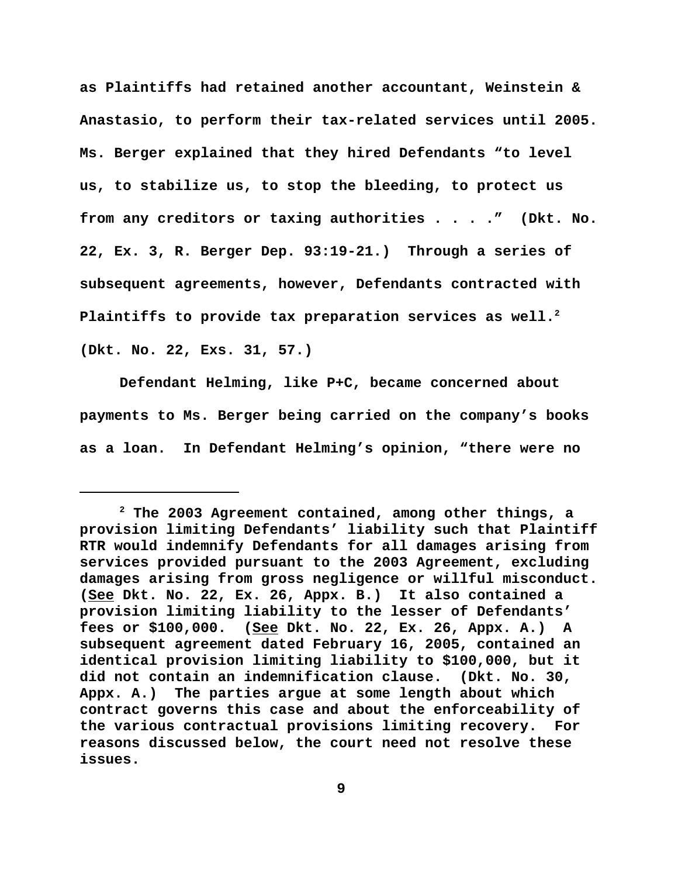**as Plaintiffs had retained another accountant, Weinstein & Anastasio, to perform their tax-related services until 2005. Ms. Berger explained that they hired Defendants "to level us, to stabilize us, to stop the bleeding, to protect us from any creditors or taxing authorities . . . ." (Dkt. No. 22, Ex. 3, R. Berger Dep. 93:19-21.) Through a series of subsequent agreements, however, Defendants contracted with Plaintiffs to provide tax preparation services as well.2 (Dkt. No. 22, Exs. 31, 57.)**

**Defendant Helming, like P+C, became concerned about payments to Ms. Berger being carried on the company's books as a loan. In Defendant Helming's opinion, "there were no**

**<sup>2</sup> The 2003 Agreement contained, among other things, a provision limiting Defendants' liability such that Plaintiff RTR would indemnify Defendants for all damages arising from services provided pursuant to the 2003 Agreement, excluding damages arising from gross negligence or willful misconduct. (See Dkt. No. 22, Ex. 26, Appx. B.) It also contained a provision limiting liability to the lesser of Defendants' fees or \$100,000. (See Dkt. No. 22, Ex. 26, Appx. A.) A subsequent agreement dated February 16, 2005, contained an identical provision limiting liability to \$100,000, but it did not contain an indemnification clause. (Dkt. No. 30, Appx. A.) The parties argue at some length about which contract governs this case and about the enforceability of the various contractual provisions limiting recovery. For reasons discussed below, the court need not resolve these issues.**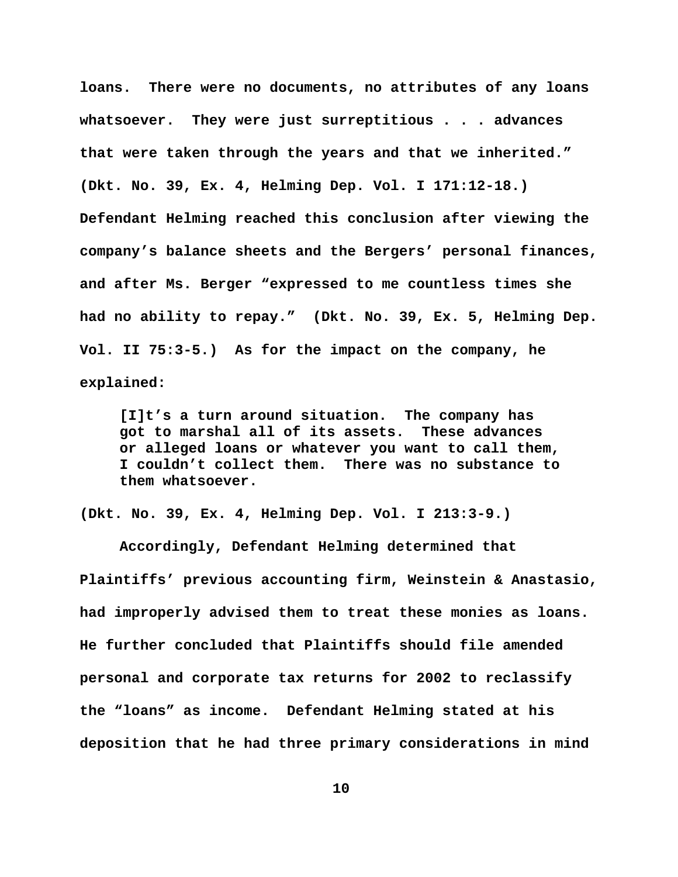**loans. There were no documents, no attributes of any loans whatsoever. They were just surreptitious . . . advances that were taken through the years and that we inherited." (Dkt. No. 39, Ex. 4, Helming Dep. Vol. I 171:12-18.) Defendant Helming reached this conclusion after viewing the company's balance sheets and the Bergers' personal finances, and after Ms. Berger "expressed to me countless times she had no ability to repay." (Dkt. No. 39, Ex. 5, Helming Dep. Vol. II 75:3-5.) As for the impact on the company, he explained:** 

**[I]t's a turn around situation. The company has got to marshal all of its assets. These advances or alleged loans or whatever you want to call them, I couldn't collect them. There was no substance to them whatsoever.** 

**(Dkt. No. 39, Ex. 4, Helming Dep. Vol. I 213:3-9.)**

**Accordingly, Defendant Helming determined that Plaintiffs' previous accounting firm, Weinstein & Anastasio, had improperly advised them to treat these monies as loans. He further concluded that Plaintiffs should file amended personal and corporate tax returns for 2002 to reclassify the "loans" as income. Defendant Helming stated at his deposition that he had three primary considerations in mind**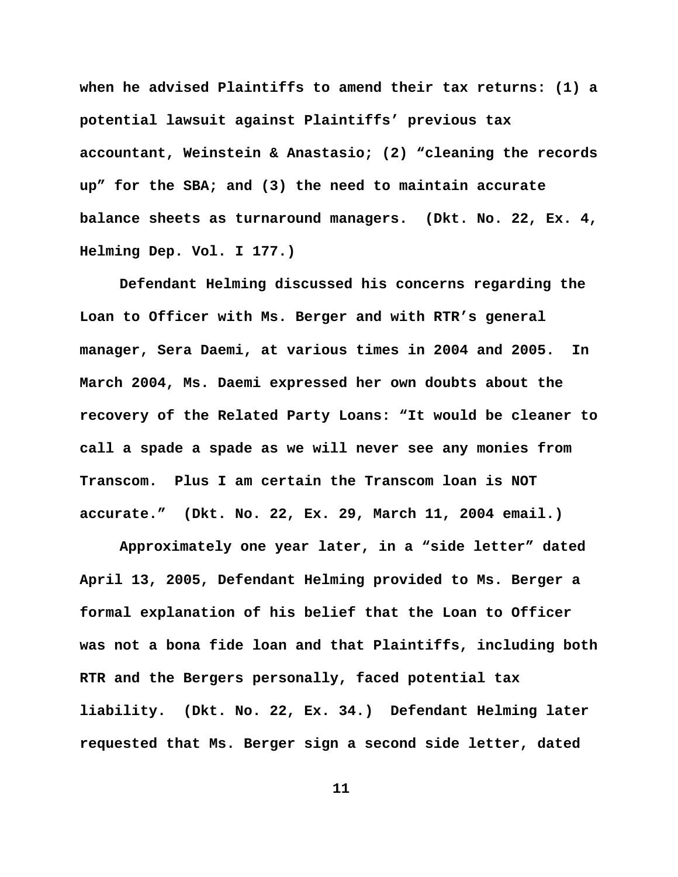**when he advised Plaintiffs to amend their tax returns: (1) a potential lawsuit against Plaintiffs' previous tax accountant, Weinstein & Anastasio; (2) "cleaning the records up" for the SBA; and (3) the need to maintain accurate balance sheets as turnaround managers. (Dkt. No. 22, Ex. 4, Helming Dep. Vol. I 177.)**

**Defendant Helming discussed his concerns regarding the Loan to Officer with Ms. Berger and with RTR's general manager, Sera Daemi, at various times in 2004 and 2005. In March 2004, Ms. Daemi expressed her own doubts about the recovery of the Related Party Loans: "It would be cleaner to call a spade a spade as we will never see any monies from Transcom. Plus I am certain the Transcom loan is NOT accurate." (Dkt. No. 22, Ex. 29, March 11, 2004 email.)** 

**Approximately one year later, in a "side letter" dated April 13, 2005, Defendant Helming provided to Ms. Berger a formal explanation of his belief that the Loan to Officer was not a bona fide loan and that Plaintiffs, including both RTR and the Bergers personally, faced potential tax liability. (Dkt. No. 22, Ex. 34.) Defendant Helming later requested that Ms. Berger sign a second side letter, dated**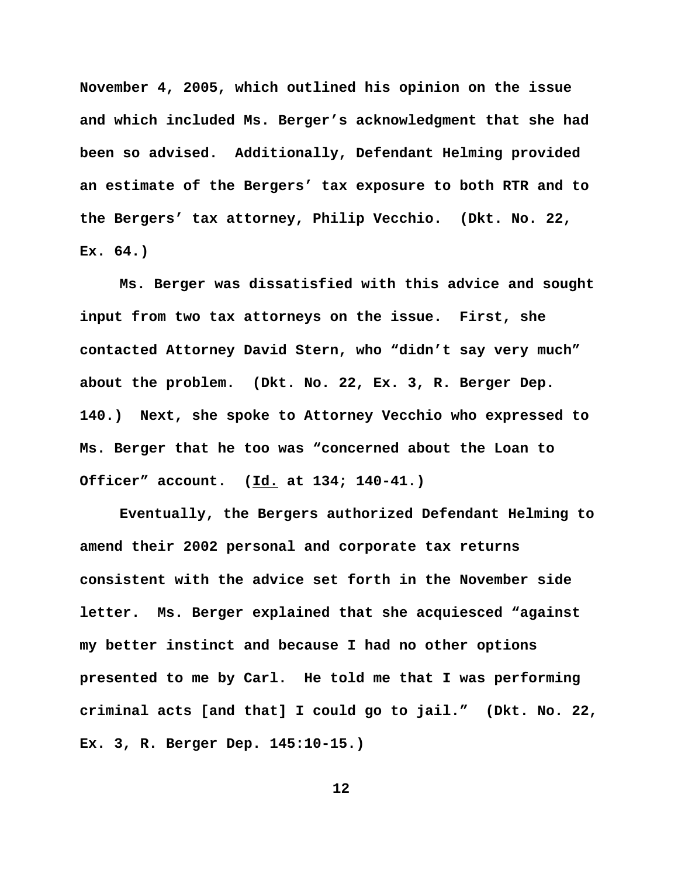**November 4, 2005, which outlined his opinion on the issue and which included Ms. Berger's acknowledgment that she had been so advised. Additionally, Defendant Helming provided an estimate of the Bergers' tax exposure to both RTR and to the Bergers' tax attorney, Philip Vecchio. (Dkt. No. 22, Ex. 64.)** 

**Ms. Berger was dissatisfied with this advice and sought input from two tax attorneys on the issue. First, she contacted Attorney David Stern, who "didn't say very much" about the problem. (Dkt. No. 22, Ex. 3, R. Berger Dep. 140.) Next, she spoke to Attorney Vecchio who expressed to Ms. Berger that he too was "concerned about the Loan to Officer" account. (Id. at 134; 140-41.)** 

**Eventually, the Bergers authorized Defendant Helming to amend their 2002 personal and corporate tax returns consistent with the advice set forth in the November side letter. Ms. Berger explained that she acquiesced "against my better instinct and because I had no other options presented to me by Carl. He told me that I was performing criminal acts [and that] I could go to jail." (Dkt. No. 22, Ex. 3, R. Berger Dep. 145:10-15.)**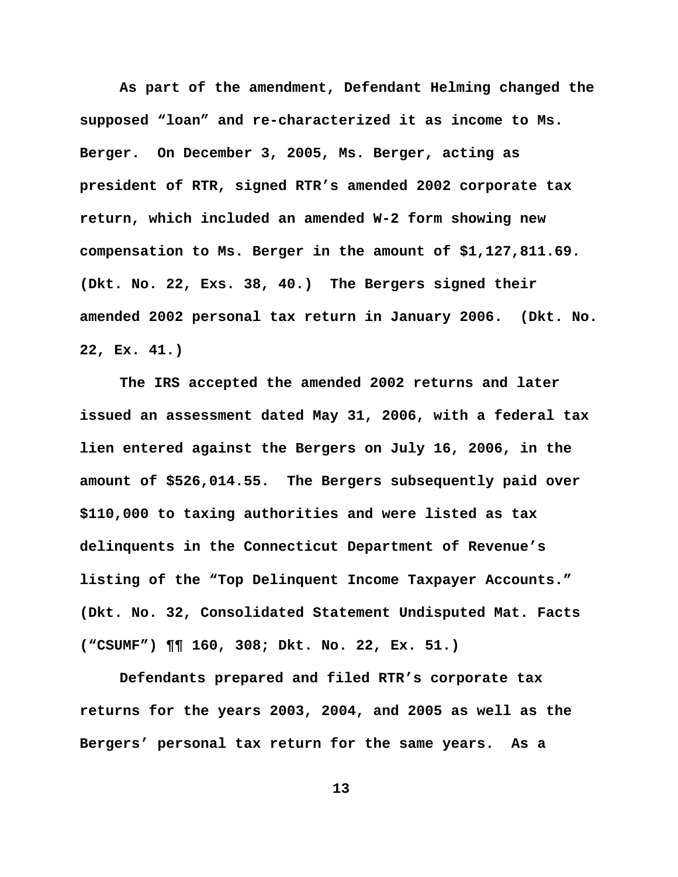**As part of the amendment, Defendant Helming changed the supposed "loan" and re-characterized it as income to Ms. Berger. On December 3, 2005, Ms. Berger, acting as president of RTR, signed RTR's amended 2002 corporate tax return, which included an amended W-2 form showing new compensation to Ms. Berger in the amount of \$1,127,811.69. (Dkt. No. 22, Exs. 38, 40.) The Bergers signed their amended 2002 personal tax return in January 2006. (Dkt. No. 22, Ex. 41.)** 

**The IRS accepted the amended 2002 returns and later issued an assessment dated May 31, 2006, with a federal tax lien entered against the Bergers on July 16, 2006, in the amount of \$526,014.55. The Bergers subsequently paid over \$110,000 to taxing authorities and were listed as tax delinquents in the Connecticut Department of Revenue's listing of the "Top Delinquent Income Taxpayer Accounts." (Dkt. No. 32, Consolidated Statement Undisputed Mat. Facts ("CSUMF") ¶¶ 160, 308; Dkt. No. 22, Ex. 51.)** 

**Defendants prepared and filed RTR's corporate tax returns for the years 2003, 2004, and 2005 as well as the Bergers' personal tax return for the same years. As a**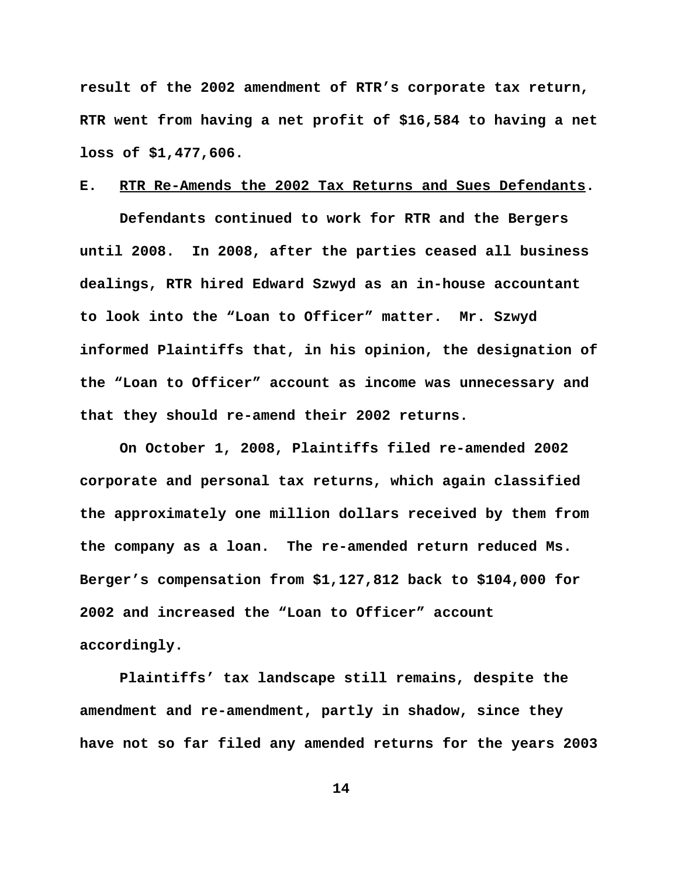**result of the 2002 amendment of RTR's corporate tax return, RTR went from having a net profit of \$16,584 to having a net loss of \$1,477,606.**

## **E. RTR Re-Amends the 2002 Tax Returns and Sues Defendants.**

**Defendants continued to work for RTR and the Bergers until 2008. In 2008, after the parties ceased all business dealings, RTR hired Edward Szwyd as an in-house accountant to look into the "Loan to Officer" matter. Mr. Szwyd informed Plaintiffs that, in his opinion, the designation of the "Loan to Officer" account as income was unnecessary and that they should re-amend their 2002 returns.** 

**On October 1, 2008, Plaintiffs filed re-amended 2002 corporate and personal tax returns, which again classified the approximately one million dollars received by them from the company as a loan. The re-amended return reduced Ms. Berger's compensation from \$1,127,812 back to \$104,000 for 2002 and increased the "Loan to Officer" account accordingly.**

**Plaintiffs' tax landscape still remains, despite the amendment and re-amendment, partly in shadow, since they have not so far filed any amended returns for the years 2003**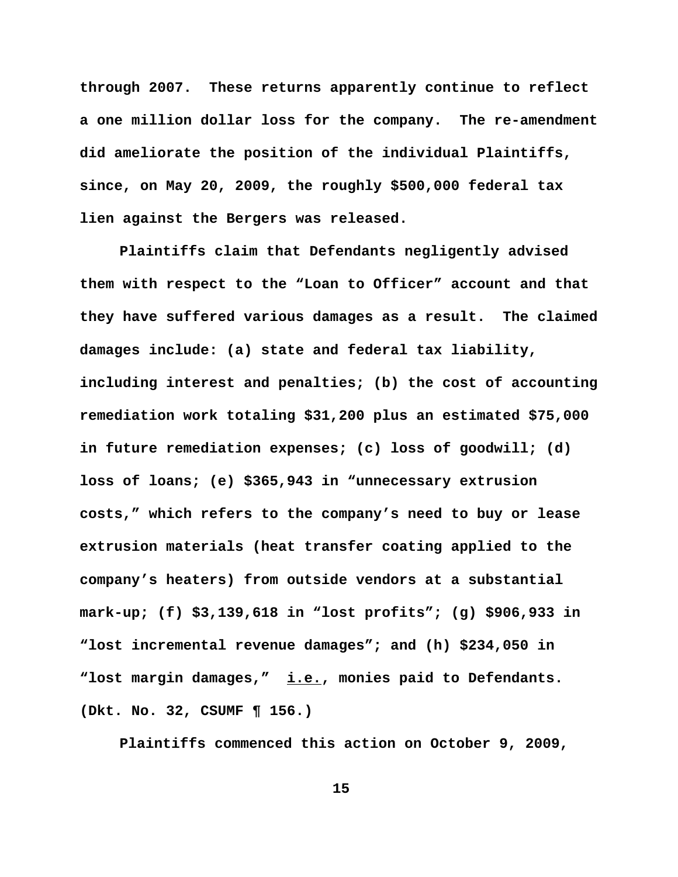**through 2007. These returns apparently continue to reflect a one million dollar loss for the company. The re-amendment did ameliorate the position of the individual Plaintiffs, since, on May 20, 2009, the roughly \$500,000 federal tax lien against the Bergers was released.**

**Plaintiffs claim that Defendants negligently advised them with respect to the "Loan to Officer" account and that they have suffered various damages as a result. The claimed damages include: (a) state and federal tax liability, including interest and penalties; (b) the cost of accounting remediation work totaling \$31,200 plus an estimated \$75,000 in future remediation expenses; (c) loss of goodwill; (d) loss of loans; (e) \$365,943 in "unnecessary extrusion costs," which refers to the company's need to buy or lease extrusion materials (heat transfer coating applied to the company's heaters) from outside vendors at a substantial mark-up; (f) \$3,139,618 in "lost profits"; (g) \$906,933 in "lost incremental revenue damages"; and (h) \$234,050 in "lost margin damages," i.e., monies paid to Defendants. (Dkt. No. 32, CSUMF ¶ 156.)** 

**Plaintiffs commenced this action on October 9, 2009,**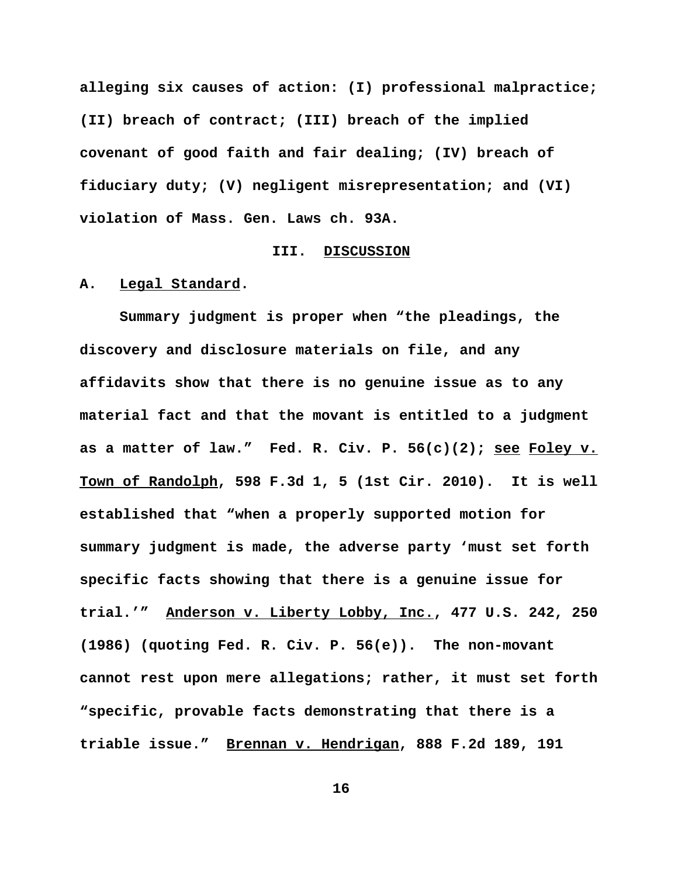**alleging six causes of action: (I) professional malpractice; (II) breach of contract; (III) breach of the implied covenant of good faith and fair dealing; (IV) breach of fiduciary duty; (V) negligent misrepresentation; and (VI) violation of Mass. Gen. Laws ch. 93A.** 

### **III. DISCUSSION**

#### **A. Legal Standard.**

**Summary judgment is proper when "the pleadings, the discovery and disclosure materials on file, and any affidavits show that there is no genuine issue as to any material fact and that the movant is entitled to a judgment as a matter of law." Fed. R. Civ. P. 56(c)(2); see Foley v. Town of Randolph, 598 F.3d 1, 5 (1st Cir. 2010). It is well established that "when a properly supported motion for summary judgment is made, the adverse party 'must set forth specific facts showing that there is a genuine issue for trial.'" Anderson v. Liberty Lobby, Inc., 477 U.S. 242, 250 (1986) (quoting Fed. R. Civ. P. 56(e)). The non-movant cannot rest upon mere allegations; rather, it must set forth "specific, provable facts demonstrating that there is a triable issue." Brennan v. Hendrigan, 888 F.2d 189, 191**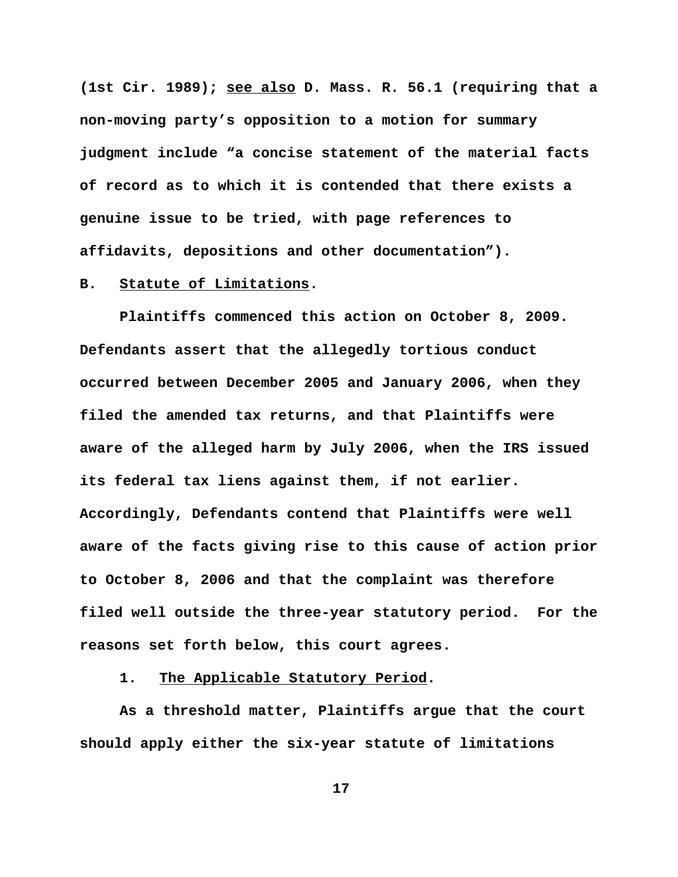**(1st Cir. 1989); see also D. Mass. R. 56.1 (requiring that a non-moving party's opposition to a motion for summary judgment include "a concise statement of the material facts of record as to which it is contended that there exists a genuine issue to be tried, with page references to affidavits, depositions and other documentation").** 

# **B. Statute of Limitations.**

**Plaintiffs commenced this action on October 8, 2009. Defendants assert that the allegedly tortious conduct occurred between December 2005 and January 2006, when they filed the amended tax returns, and that Plaintiffs were aware of the alleged harm by July 2006, when the IRS issued its federal tax liens against them, if not earlier. Accordingly, Defendants contend that Plaintiffs were well aware of the facts giving rise to this cause of action prior to October 8, 2006 and that the complaint was therefore filed well outside the three-year statutory period. For the reasons set forth below, this court agrees.**

**1. The Applicable Statutory Period.**

**As a threshold matter, Plaintiffs argue that the court should apply either the six-year statute of limitations**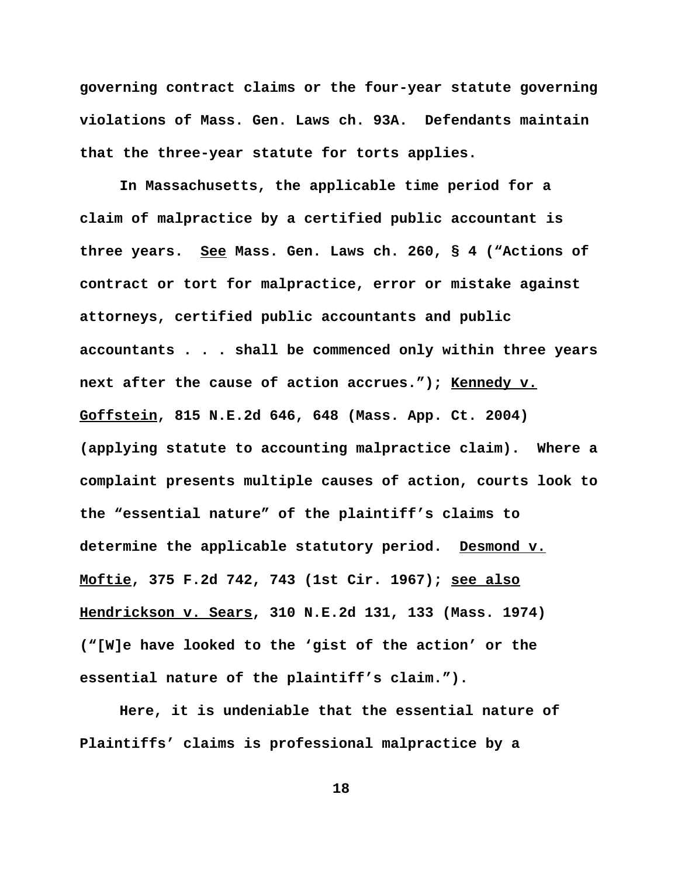**governing contract claims or the four-year statute governing violations of Mass. Gen. Laws ch. 93A. Defendants maintain that the three-year statute for torts applies.**

**In Massachusetts, the applicable time period for a claim of malpractice by a certified public accountant is three years. See Mass. Gen. Laws ch. 260, § 4 ("Actions of contract or tort for malpractice, error or mistake against attorneys, certified public accountants and public accountants . . . shall be commenced only within three years next after the cause of action accrues."); Kennedy v. Goffstein, 815 N.E.2d 646, 648 (Mass. App. Ct. 2004) (applying statute to accounting malpractice claim). Where a complaint presents multiple causes of action, courts look to the "essential nature" of the plaintiff's claims to determine the applicable statutory period. Desmond v. Moftie, 375 F.2d 742, 743 (1st Cir. 1967); see also Hendrickson v. Sears, 310 N.E.2d 131, 133 (Mass. 1974) ("[W]e have looked to the 'gist of the action' or the essential nature of the plaintiff's claim.").**

**Here, it is undeniable that the essential nature of Plaintiffs' claims is professional malpractice by a**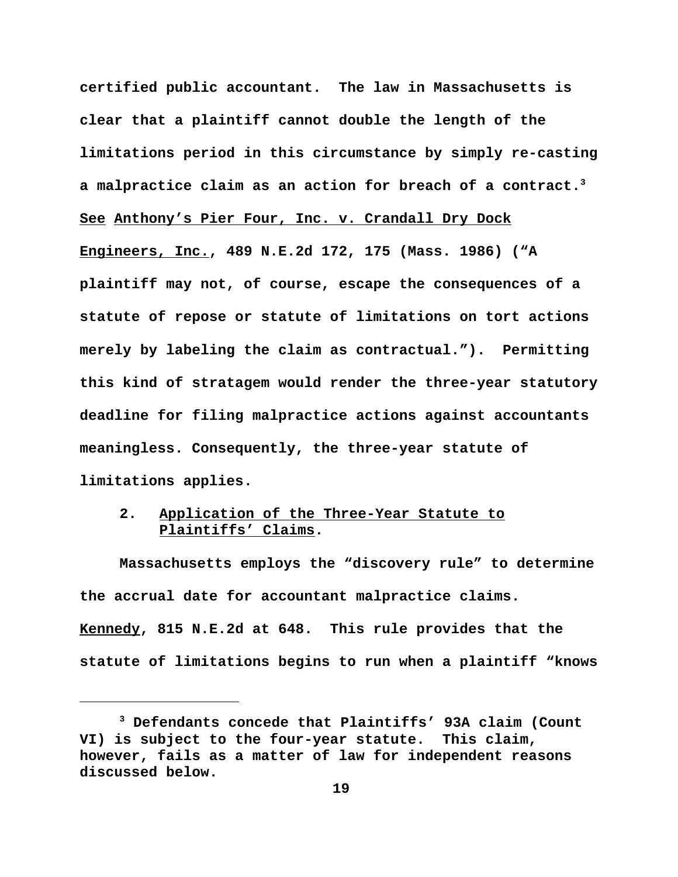**certified public accountant. The law in Massachusetts is clear that a plaintiff cannot double the length of the limitations period in this circumstance by simply re-casting a malpractice claim as an action for breach of a contract.3 See Anthony's Pier Four, Inc. v. Crandall Dry Dock Engineers, Inc., 489 N.E.2d 172, 175 (Mass. 1986) ("A plaintiff may not, of course, escape the consequences of a statute of repose or statute of limitations on tort actions merely by labeling the claim as contractual."). Permitting this kind of stratagem would render the three-year statutory deadline for filing malpractice actions against accountants meaningless. Consequently, the three-year statute of limitations applies.**

# **2. Application of the Three-Year Statute to Plaintiffs' Claims.**

**Massachusetts employs the "discovery rule" to determine the accrual date for accountant malpractice claims. Kennedy, 815 N.E.2d at 648. This rule provides that the statute of limitations begins to run when a plaintiff "knows**

**<sup>3</sup> Defendants concede that Plaintiffs' 93A claim (Count VI) is subject to the four-year statute. This claim, however, fails as a matter of law for independent reasons discussed below.**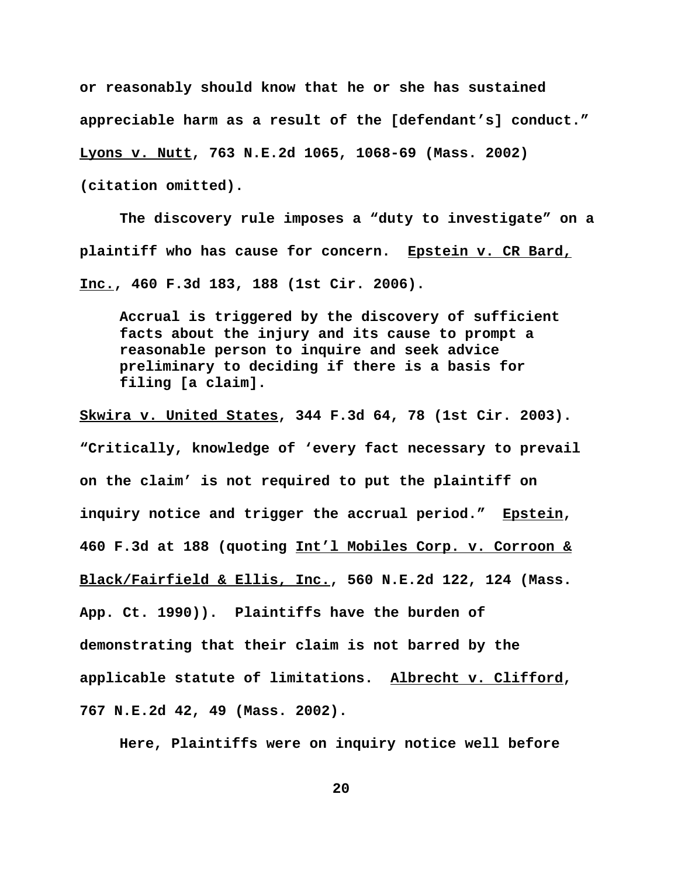**or reasonably should know that he or she has sustained appreciable harm as a result of the [defendant's] conduct." Lyons v. Nutt, 763 N.E.2d 1065, 1068-69 (Mass. 2002) (citation omitted).** 

**The discovery rule imposes a "duty to investigate" on a plaintiff who has cause for concern. Epstein v. CR Bard, Inc., 460 F.3d 183, 188 (1st Cir. 2006).** 

**Accrual is triggered by the discovery of sufficient facts about the injury and its cause to prompt a reasonable person to inquire and seek advice preliminary to deciding if there is a basis for filing [a claim].** 

**Skwira v. United States, 344 F.3d 64, 78 (1st Cir. 2003). "Critically, knowledge of 'every fact necessary to prevail on the claim' is not required to put the plaintiff on inquiry notice and trigger the accrual period." Epstein, 460 F.3d at 188 (quoting Int'l Mobiles Corp. v. Corroon & Black/Fairfield & Ellis, Inc., 560 N.E.2d 122, 124 (Mass. App. Ct. 1990)). Plaintiffs have the burden of demonstrating that their claim is not barred by the applicable statute of limitations. Albrecht v. Clifford, 767 N.E.2d 42, 49 (Mass. 2002).**

**Here, Plaintiffs were on inquiry notice well before**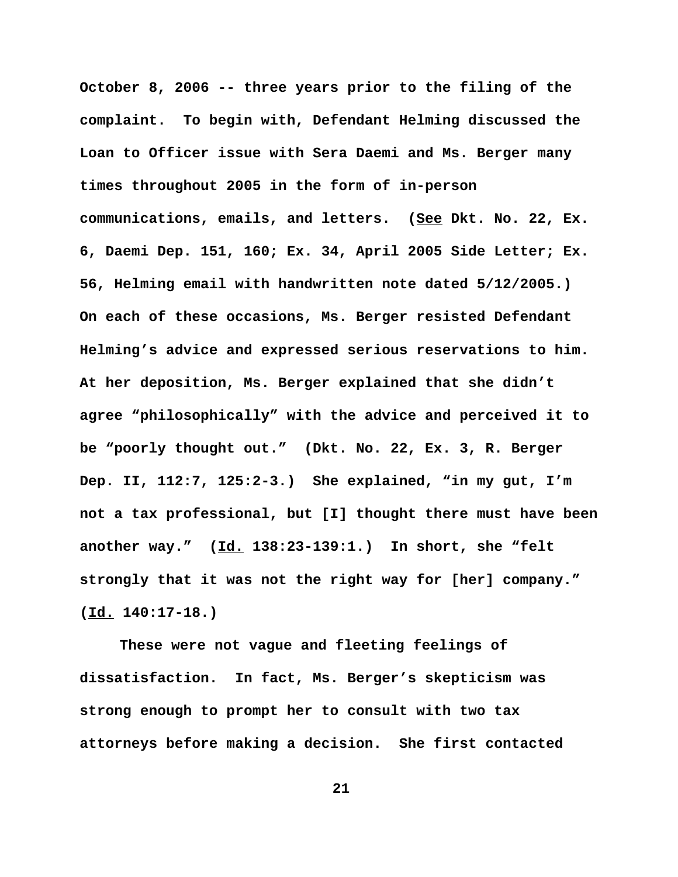**October 8, 2006 -- three years prior to the filing of the complaint. To begin with, Defendant Helming discussed the Loan to Officer issue with Sera Daemi and Ms. Berger many times throughout 2005 in the form of in-person communications, emails, and letters. (See Dkt. No. 22, Ex. 6, Daemi Dep. 151, 160; Ex. 34, April 2005 Side Letter; Ex. 56, Helming email with handwritten note dated 5/12/2005.) On each of these occasions, Ms. Berger resisted Defendant Helming's advice and expressed serious reservations to him. At her deposition, Ms. Berger explained that she didn't agree "philosophically" with the advice and perceived it to be "poorly thought out." (Dkt. No. 22, Ex. 3, R. Berger Dep. II, 112:7, 125:2-3.) She explained, "in my gut, I'm not a tax professional, but [I] thought there must have been another way." (Id. 138:23-139:1.) In short, she "felt strongly that it was not the right way for [her] company." (Id. 140:17-18.)** 

**These were not vague and fleeting feelings of dissatisfaction. In fact, Ms. Berger's skepticism was strong enough to prompt her to consult with two tax attorneys before making a decision. She first contacted**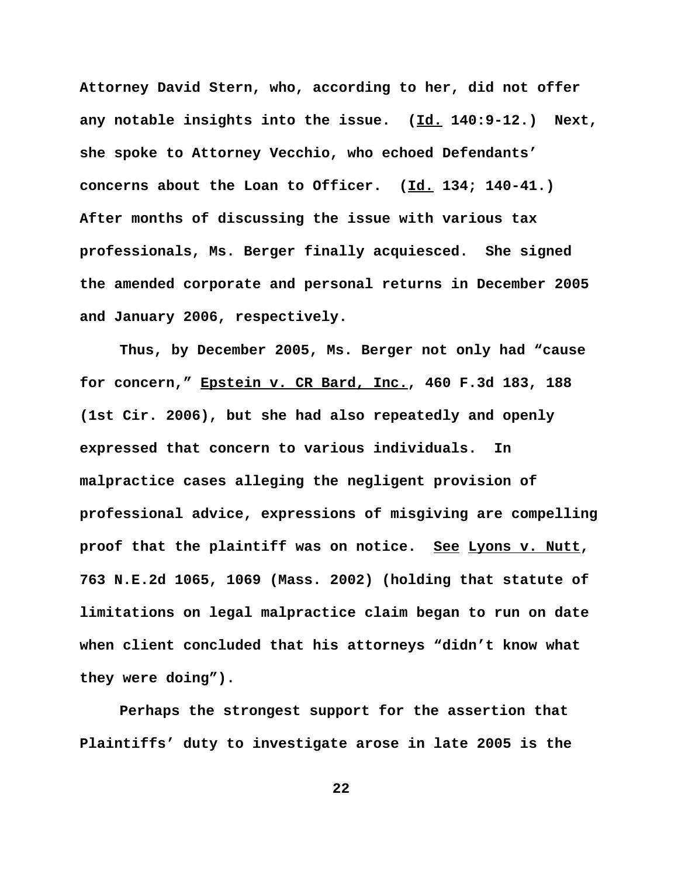**Attorney David Stern, who, according to her, did not offer any notable insights into the issue. (Id. 140:9-12.) Next, she spoke to Attorney Vecchio, who echoed Defendants' concerns about the Loan to Officer. (Id. 134; 140-41.) After months of discussing the issue with various tax professionals, Ms. Berger finally acquiesced. She signed the amended corporate and personal returns in December 2005 and January 2006, respectively.** 

**Thus, by December 2005, Ms. Berger not only had "cause for concern," Epstein v. CR Bard, Inc., 460 F.3d 183, 188 (1st Cir. 2006), but she had also repeatedly and openly expressed that concern to various individuals. In malpractice cases alleging the negligent provision of professional advice, expressions of misgiving are compelling proof that the plaintiff was on notice. See Lyons v. Nutt, 763 N.E.2d 1065, 1069 (Mass. 2002) (holding that statute of limitations on legal malpractice claim began to run on date when client concluded that his attorneys "didn't know what they were doing").**

**Perhaps the strongest support for the assertion that Plaintiffs' duty to investigate arose in late 2005 is the**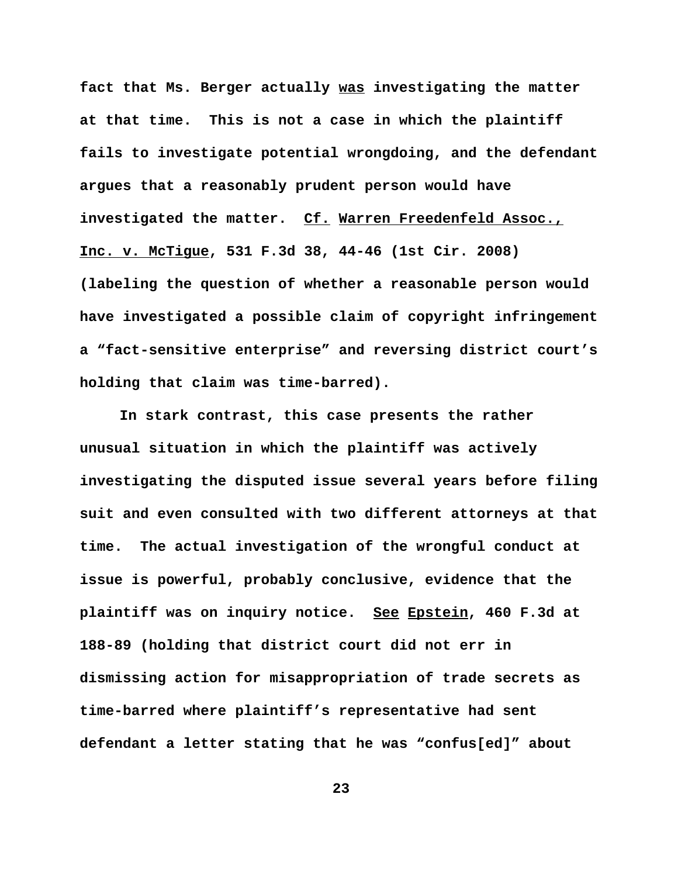**fact that Ms. Berger actually was investigating the matter at that time. This is not a case in which the plaintiff fails to investigate potential wrongdoing, and the defendant argues that a reasonably prudent person would have investigated the matter. Cf. Warren Freedenfeld Assoc., Inc. v. McTigue, 531 F.3d 38, 44-46 (1st Cir. 2008) (labeling the question of whether a reasonable person would have investigated a possible claim of copyright infringement a "fact-sensitive enterprise" and reversing district court's holding that claim was time-barred).** 

**In stark contrast, this case presents the rather unusual situation in which the plaintiff was actively investigating the disputed issue several years before filing suit and even consulted with two different attorneys at that time. The actual investigation of the wrongful conduct at issue is powerful, probably conclusive, evidence that the plaintiff was on inquiry notice. See Epstein, 460 F.3d at 188-89 (holding that district court did not err in dismissing action for misappropriation of trade secrets as time-barred where plaintiff's representative had sent defendant a letter stating that he was "confus[ed]" about**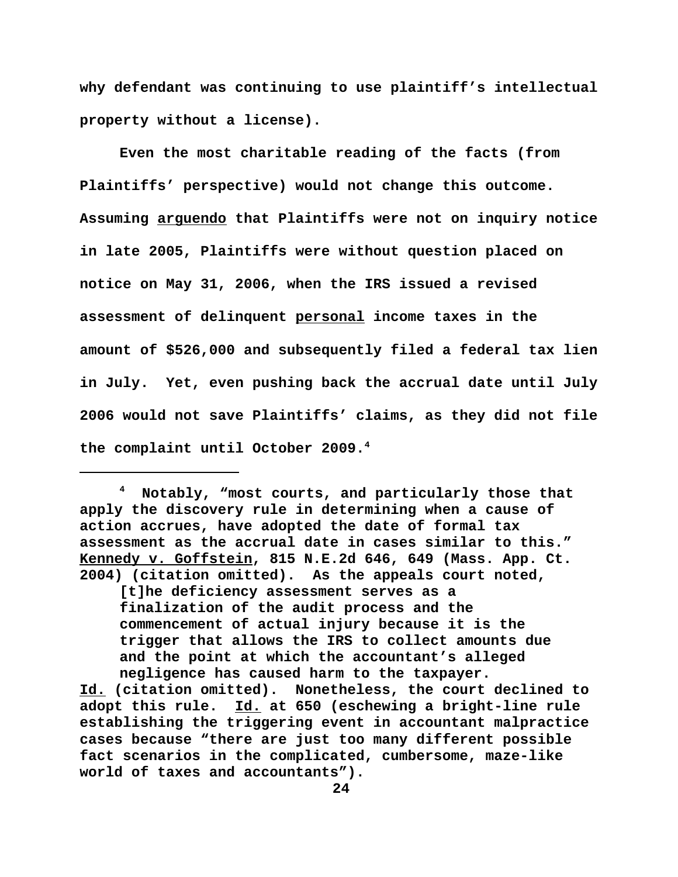**why defendant was continuing to use plaintiff's intellectual property without a license).**

**Even the most charitable reading of the facts (from Plaintiffs' perspective) would not change this outcome. Assuming arguendo that Plaintiffs were not on inquiry notice in late 2005, Plaintiffs were without question placed on notice on May 31, 2006, when the IRS issued a revised assessment of delinquent personal income taxes in the amount of \$526,000 and subsequently filed a federal tax lien in July. Yet, even pushing back the accrual date until July 2006 would not save Plaintiffs' claims, as they did not file the complaint until October 2009.4** 

**4 Notably, "most courts, and particularly those that apply the discovery rule in determining when a cause of action accrues, have adopted the date of formal tax assessment as the accrual date in cases similar to this." Kennedy v. Goffstein, 815 N.E.2d 646, 649 (Mass. App. Ct. 2004) (citation omitted). As the appeals court noted,** 

**[t]he deficiency assessment serves as a finalization of the audit process and the commencement of actual injury because it is the trigger that allows the IRS to collect amounts due and the point at which the accountant's alleged negligence has caused harm to the taxpayer.** 

**Id. (citation omitted). Nonetheless, the court declined to adopt this rule. Id. at 650 (eschewing a bright-line rule establishing the triggering event in accountant malpractice cases because "there are just too many different possible fact scenarios in the complicated, cumbersome, maze-like world of taxes and accountants").**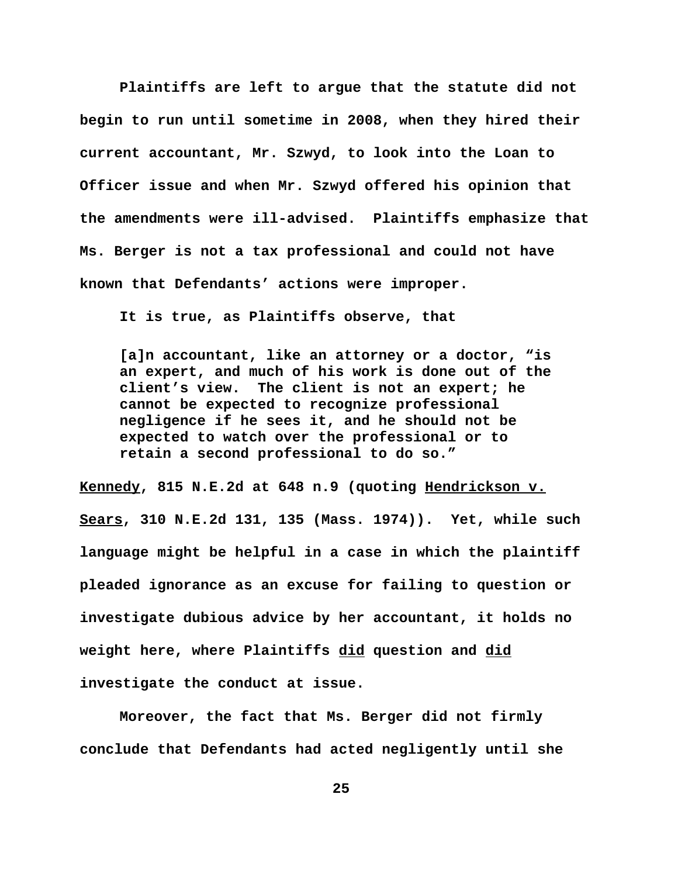**Plaintiffs are left to argue that the statute did not begin to run until sometime in 2008, when they hired their current accountant, Mr. Szwyd, to look into the Loan to Officer issue and when Mr. Szwyd offered his opinion that the amendments were ill-advised. Plaintiffs emphasize that Ms. Berger is not a tax professional and could not have known that Defendants' actions were improper.** 

**It is true, as Plaintiffs observe, that**

**[a]n accountant, like an attorney or a doctor, "is an expert, and much of his work is done out of the client's view. The client is not an expert; he cannot be expected to recognize professional negligence if he sees it, and he should not be expected to watch over the professional or to retain a second professional to do so."**

**Kennedy, 815 N.E.2d at 648 n.9 (quoting Hendrickson v. Sears, 310 N.E.2d 131, 135 (Mass. 1974)). Yet, while such language might be helpful in a case in which the plaintiff pleaded ignorance as an excuse for failing to question or investigate dubious advice by her accountant, it holds no weight here, where Plaintiffs did question and did investigate the conduct at issue.**

**Moreover, the fact that Ms. Berger did not firmly conclude that Defendants had acted negligently until she**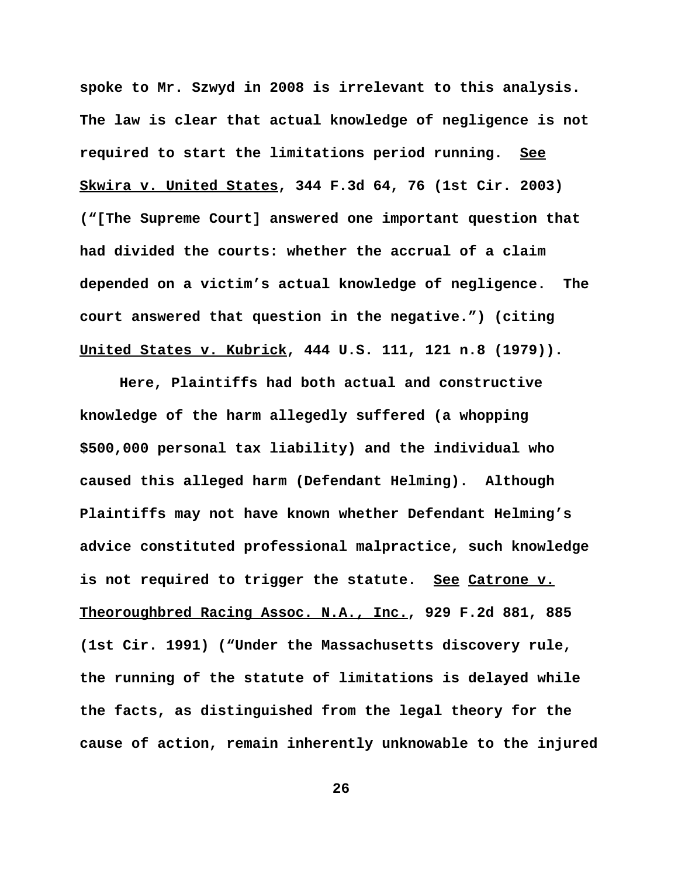**spoke to Mr. Szwyd in 2008 is irrelevant to this analysis. The law is clear that actual knowledge of negligence is not required to start the limitations period running. See Skwira v. United States, 344 F.3d 64, 76 (1st Cir. 2003) ("[The Supreme Court] answered one important question that had divided the courts: whether the accrual of a claim depended on a victim's actual knowledge of negligence. The court answered that question in the negative.") (citing United States v. Kubrick, 444 U.S. 111, 121 n.8 (1979)).** 

**Here, Plaintiffs had both actual and constructive knowledge of the harm allegedly suffered (a whopping \$500,000 personal tax liability) and the individual who caused this alleged harm (Defendant Helming). Although Plaintiffs may not have known whether Defendant Helming's advice constituted professional malpractice, such knowledge is not required to trigger the statute. See Catrone v. Theoroughbred Racing Assoc. N.A., Inc., 929 F.2d 881, 885 (1st Cir. 1991) ("Under the Massachusetts discovery rule, the running of the statute of limitations is delayed while the facts, as distinguished from the legal theory for the cause of action, remain inherently unknowable to the injured**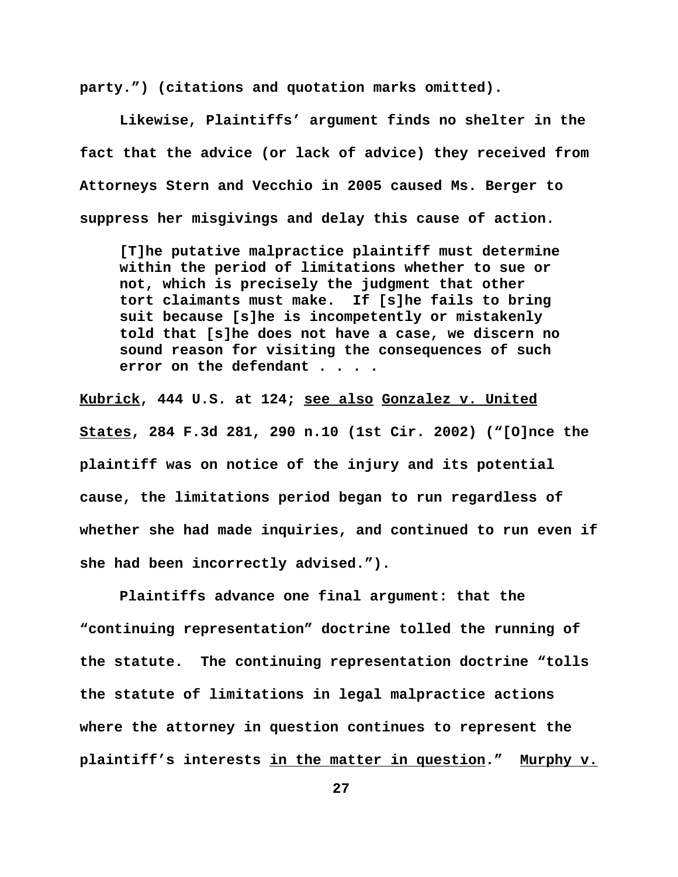**party.") (citations and quotation marks omitted).**

**Likewise, Plaintiffs' argument finds no shelter in the fact that the advice (or lack of advice) they received from Attorneys Stern and Vecchio in 2005 caused Ms. Berger to suppress her misgivings and delay this cause of action.**

**[T]he putative malpractice plaintiff must determine within the period of limitations whether to sue or not, which is precisely the judgment that other tort claimants must make. If [s]he fails to bring suit because [s]he is incompetently or mistakenly told that [s]he does not have a case, we discern no sound reason for visiting the consequences of such error on the defendant . . . .**

**Kubrick, 444 U.S. at 124; see also Gonzalez v. United States, 284 F.3d 281, 290 n.10 (1st Cir. 2002) ("[O]nce the plaintiff was on notice of the injury and its potential cause, the limitations period began to run regardless of whether she had made inquiries, and continued to run even if she had been incorrectly advised.").**

**Plaintiffs advance one final argument: that the "continuing representation" doctrine tolled the running of the statute. The continuing representation doctrine "tolls the statute of limitations in legal malpractice actions where the attorney in question continues to represent the plaintiff's interests in the matter in question." Murphy v.**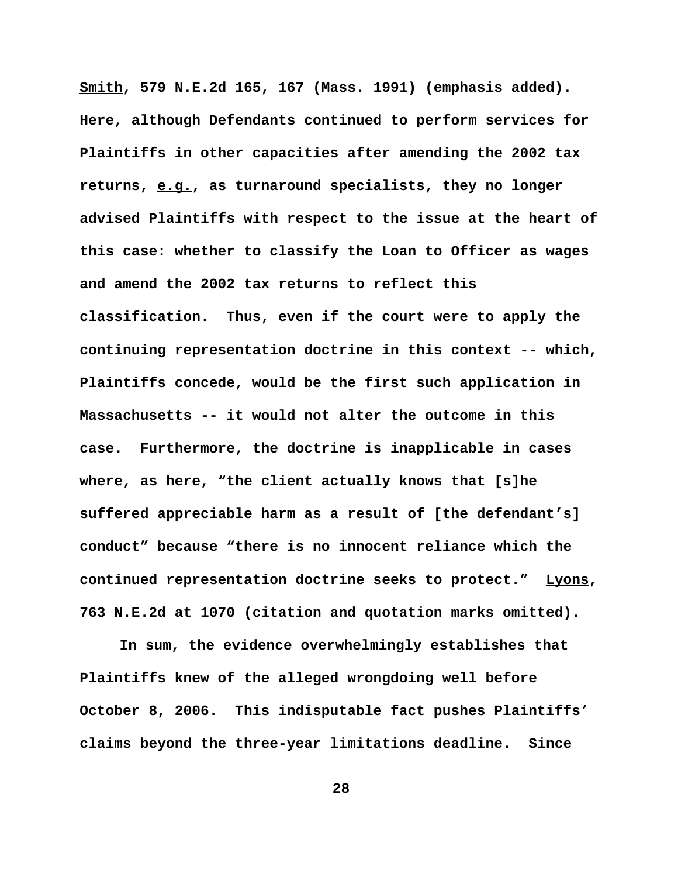**Smith, 579 N.E.2d 165, 167 (Mass. 1991) (emphasis added). Here, although Defendants continued to perform services for Plaintiffs in other capacities after amending the 2002 tax returns, e.g., as turnaround specialists, they no longer advised Plaintiffs with respect to the issue at the heart of this case: whether to classify the Loan to Officer as wages and amend the 2002 tax returns to reflect this classification. Thus, even if the court were to apply the continuing representation doctrine in this context -- which, Plaintiffs concede, would be the first such application in Massachusetts -- it would not alter the outcome in this case. Furthermore, the doctrine is inapplicable in cases where, as here, "the client actually knows that [s]he suffered appreciable harm as a result of [the defendant's] conduct" because "there is no innocent reliance which the continued representation doctrine seeks to protect." Lyons, 763 N.E.2d at 1070 (citation and quotation marks omitted).** 

**In sum, the evidence overwhelmingly establishes that Plaintiffs knew of the alleged wrongdoing well before October 8, 2006. This indisputable fact pushes Plaintiffs' claims beyond the three-year limitations deadline. Since**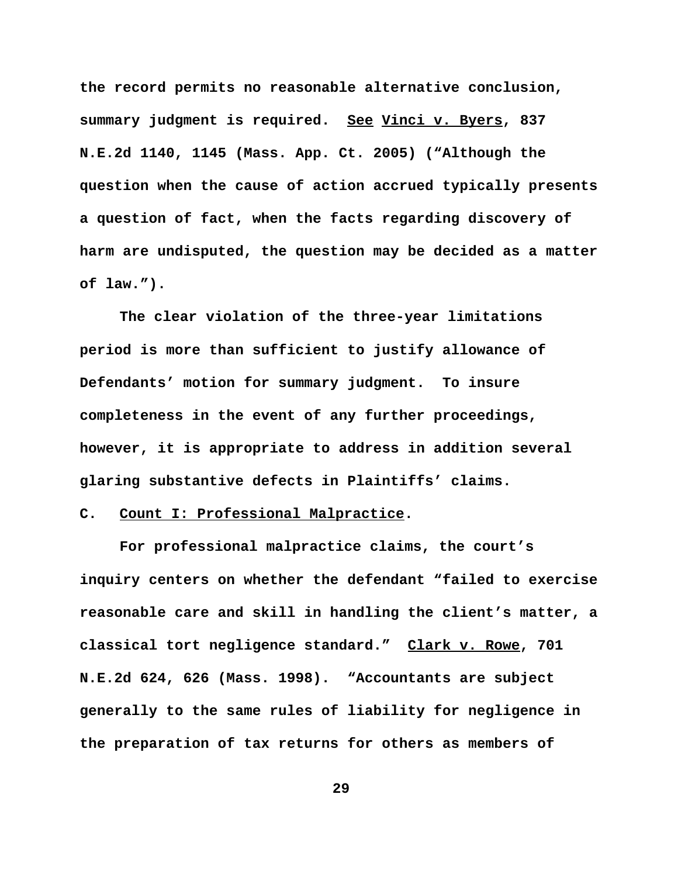**the record permits no reasonable alternative conclusion, summary judgment is required. See Vinci v. Byers, 837 N.E.2d 1140, 1145 (Mass. App. Ct. 2005) ("Although the question when the cause of action accrued typically presents a question of fact, when the facts regarding discovery of harm are undisputed, the question may be decided as a matter of law.").** 

**The clear violation of the three-year limitations period is more than sufficient to justify allowance of Defendants' motion for summary judgment. To insure completeness in the event of any further proceedings, however, it is appropriate to address in addition several glaring substantive defects in Plaintiffs' claims.** 

### **C. Count I: Professional Malpractice.**

**For professional malpractice claims, the court's inquiry centers on whether the defendant "failed to exercise reasonable care and skill in handling the client's matter, a classical tort negligence standard." Clark v. Rowe, 701 N.E.2d 624, 626 (Mass. 1998). "Accountants are subject generally to the same rules of liability for negligence in the preparation of tax returns for others as members of**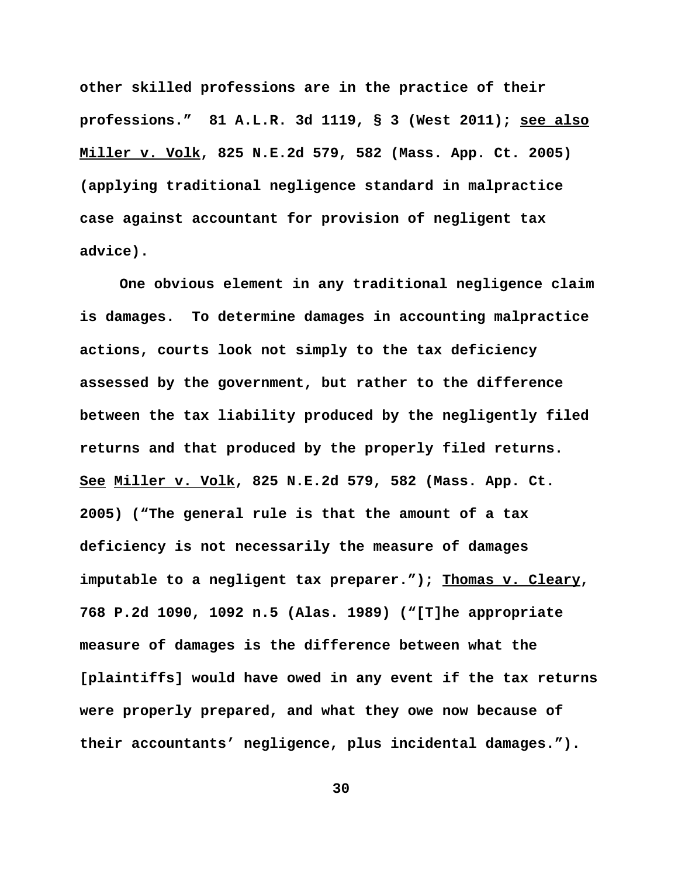**other skilled professions are in the practice of their professions." 81 A.L.R. 3d 1119, § 3 (West 2011); see also Miller v. Volk, 825 N.E.2d 579, 582 (Mass. App. Ct. 2005) (applying traditional negligence standard in malpractice case against accountant for provision of negligent tax advice).** 

**One obvious element in any traditional negligence claim is damages. To determine damages in accounting malpractice actions, courts look not simply to the tax deficiency assessed by the government, but rather to the difference between the tax liability produced by the negligently filed returns and that produced by the properly filed returns. See Miller v. Volk, 825 N.E.2d 579, 582 (Mass. App. Ct. 2005) ("The general rule is that the amount of a tax deficiency is not necessarily the measure of damages imputable to a negligent tax preparer."); Thomas v. Cleary, 768 P.2d 1090, 1092 n.5 (Alas. 1989) ("[T]he appropriate measure of damages is the difference between what the [plaintiffs] would have owed in any event if the tax returns were properly prepared, and what they owe now because of their accountants' negligence, plus incidental damages.").**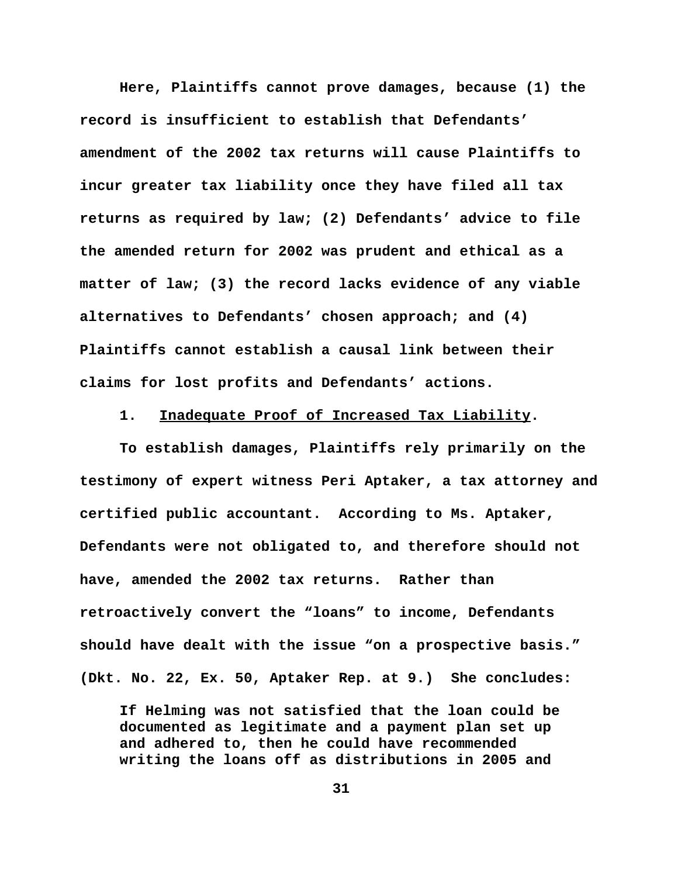**Here, Plaintiffs cannot prove damages, because (1) the record is insufficient to establish that Defendants' amendment of the 2002 tax returns will cause Plaintiffs to incur greater tax liability once they have filed all tax returns as required by law; (2) Defendants' advice to file the amended return for 2002 was prudent and ethical as a matter of law; (3) the record lacks evidence of any viable alternatives to Defendants' chosen approach; and (4) Plaintiffs cannot establish a causal link between their claims for lost profits and Defendants' actions.**

**1. Inadequate Proof of Increased Tax Liability.**

**To establish damages, Plaintiffs rely primarily on the testimony of expert witness Peri Aptaker, a tax attorney and certified public accountant. According to Ms. Aptaker, Defendants were not obligated to, and therefore should not have, amended the 2002 tax returns. Rather than retroactively convert the "loans" to income, Defendants should have dealt with the issue "on a prospective basis." (Dkt. No. 22, Ex. 50, Aptaker Rep. at 9.) She concludes:**

**If Helming was not satisfied that the loan could be documented as legitimate and a payment plan set up and adhered to, then he could have recommended writing the loans off as distributions in 2005 and**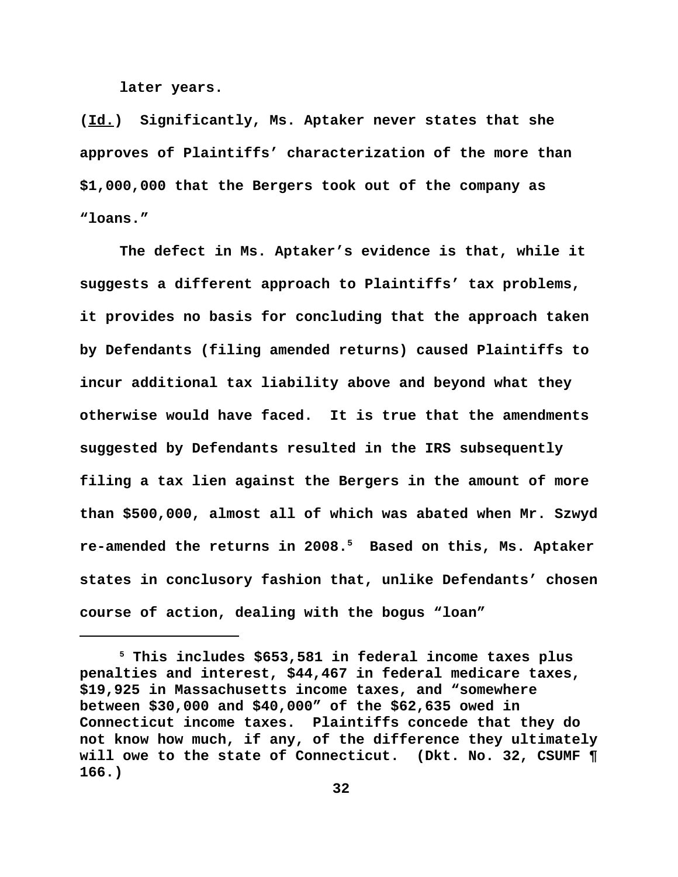**later years.**

**(Id.) Significantly, Ms. Aptaker never states that she approves of Plaintiffs' characterization of the more than \$1,000,000 that the Bergers took out of the company as "loans."**

**The defect in Ms. Aptaker's evidence is that, while it suggests a different approach to Plaintiffs' tax problems, it provides no basis for concluding that the approach taken by Defendants (filing amended returns) caused Plaintiffs to incur additional tax liability above and beyond what they otherwise would have faced. It is true that the amendments suggested by Defendants resulted in the IRS subsequently filing a tax lien against the Bergers in the amount of more than \$500,000, almost all of which was abated when Mr. Szwyd re-amended the returns in 2008.5 Based on this, Ms. Aptaker states in conclusory fashion that, unlike Defendants' chosen course of action, dealing with the bogus "loan"**

**<sup>5</sup> This includes \$653,581 in federal income taxes plus penalties and interest, \$44,467 in federal medicare taxes, \$19,925 in Massachusetts income taxes, and "somewhere between \$30,000 and \$40,000" of the \$62,635 owed in Connecticut income taxes. Plaintiffs concede that they do not know how much, if any, of the difference they ultimately will owe to the state of Connecticut. (Dkt. No. 32, CSUMF ¶ 166.)**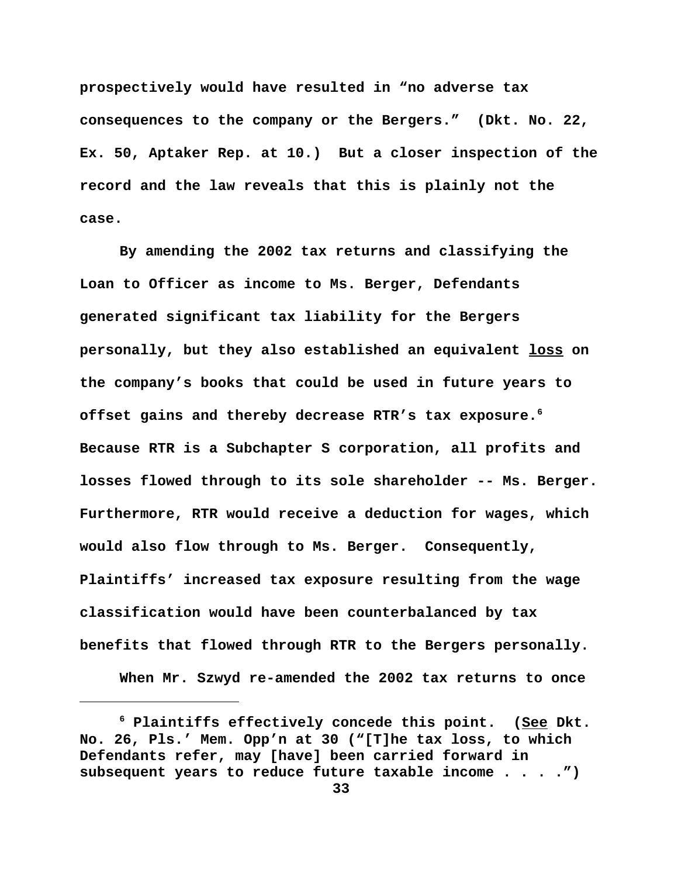**prospectively would have resulted in "no adverse tax consequences to the company or the Bergers." (Dkt. No. 22, Ex. 50, Aptaker Rep. at 10.) But a closer inspection of the record and the law reveals that this is plainly not the case.**

**By amending the 2002 tax returns and classifying the Loan to Officer as income to Ms. Berger, Defendants generated significant tax liability for the Bergers personally, but they also established an equivalent loss on the company's books that could be used in future years to offset gains and thereby decrease RTR's tax exposure.6 Because RTR is a Subchapter S corporation, all profits and losses flowed through to its sole shareholder -- Ms. Berger. Furthermore, RTR would receive a deduction for wages, which would also flow through to Ms. Berger. Consequently, Plaintiffs' increased tax exposure resulting from the wage classification would have been counterbalanced by tax benefits that flowed through RTR to the Bergers personally.** 

**When Mr. Szwyd re-amended the 2002 tax returns to once**

**<sup>6</sup> Plaintiffs effectively concede this point. (See Dkt. No. 26, Pls.' Mem. Opp'n at 30 ("[T]he tax loss, to which Defendants refer, may [have] been carried forward in subsequent years to reduce future taxable income . . . .")**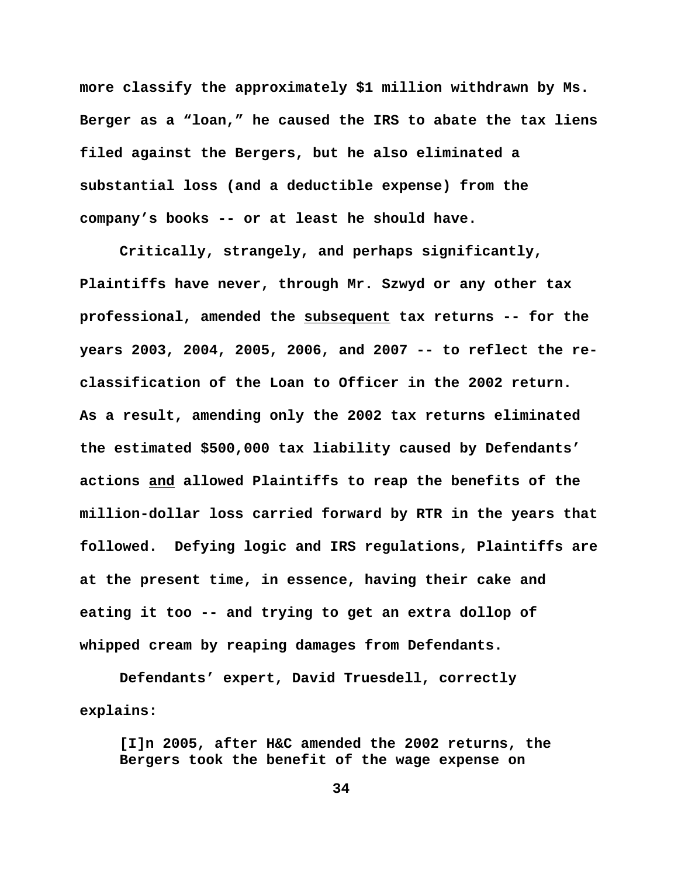**more classify the approximately \$1 million withdrawn by Ms. Berger as a "loan," he caused the IRS to abate the tax liens filed against the Bergers, but he also eliminated a substantial loss (and a deductible expense) from the company's books -- or at least he should have.**

**Critically, strangely, and perhaps significantly, Plaintiffs have never, through Mr. Szwyd or any other tax professional, amended the subsequent tax returns -- for the years 2003, 2004, 2005, 2006, and 2007 -- to reflect the reclassification of the Loan to Officer in the 2002 return. As a result, amending only the 2002 tax returns eliminated the estimated \$500,000 tax liability caused by Defendants' actions and allowed Plaintiffs to reap the benefits of the million-dollar loss carried forward by RTR in the years that followed. Defying logic and IRS regulations, Plaintiffs are at the present time, in essence, having their cake and eating it too -- and trying to get an extra dollop of whipped cream by reaping damages from Defendants.** 

**Defendants' expert, David Truesdell, correctly explains:** 

**[I]n 2005, after H&C amended the 2002 returns, the Bergers took the benefit of the wage expense on**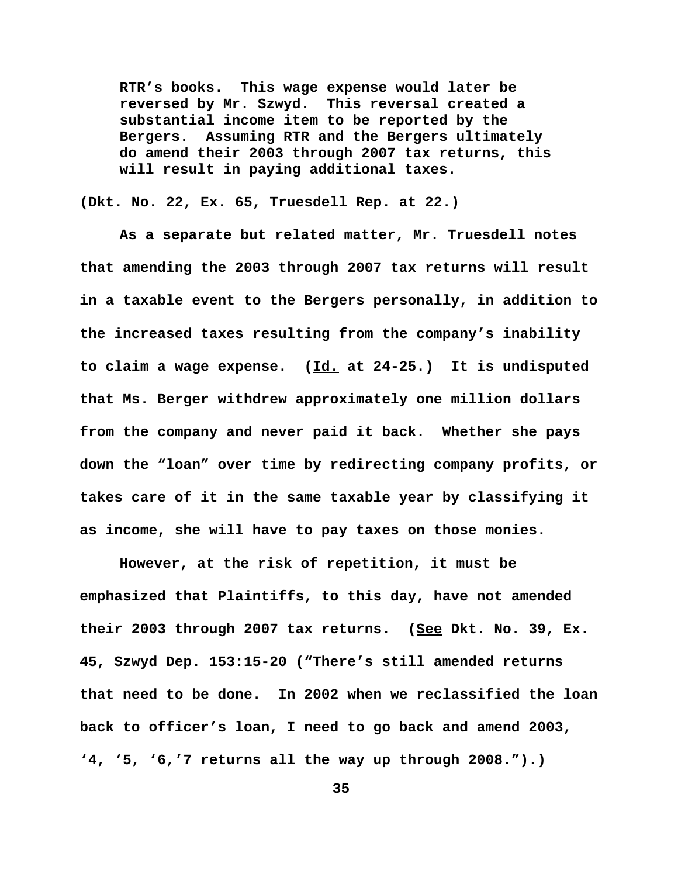**RTR's books. This wage expense would later be reversed by Mr. Szwyd. This reversal created a substantial income item to be reported by the Bergers. Assuming RTR and the Bergers ultimately do amend their 2003 through 2007 tax returns, this will result in paying additional taxes.**

**(Dkt. No. 22, Ex. 65, Truesdell Rep. at 22.)** 

**As a separate but related matter, Mr. Truesdell notes that amending the 2003 through 2007 tax returns will result in a taxable event to the Bergers personally, in addition to the increased taxes resulting from the company's inability to claim a wage expense. (Id. at 24-25.) It is undisputed that Ms. Berger withdrew approximately one million dollars from the company and never paid it back. Whether she pays down the "loan" over time by redirecting company profits, or takes care of it in the same taxable year by classifying it as income, she will have to pay taxes on those monies.** 

**However, at the risk of repetition, it must be emphasized that Plaintiffs, to this day, have not amended their 2003 through 2007 tax returns. (See Dkt. No. 39, Ex. 45, Szwyd Dep. 153:15-20 ("There's still amended returns that need to be done. In 2002 when we reclassified the loan back to officer's loan, I need to go back and amend 2003, '4, '5, '6,'7 returns all the way up through 2008.").)**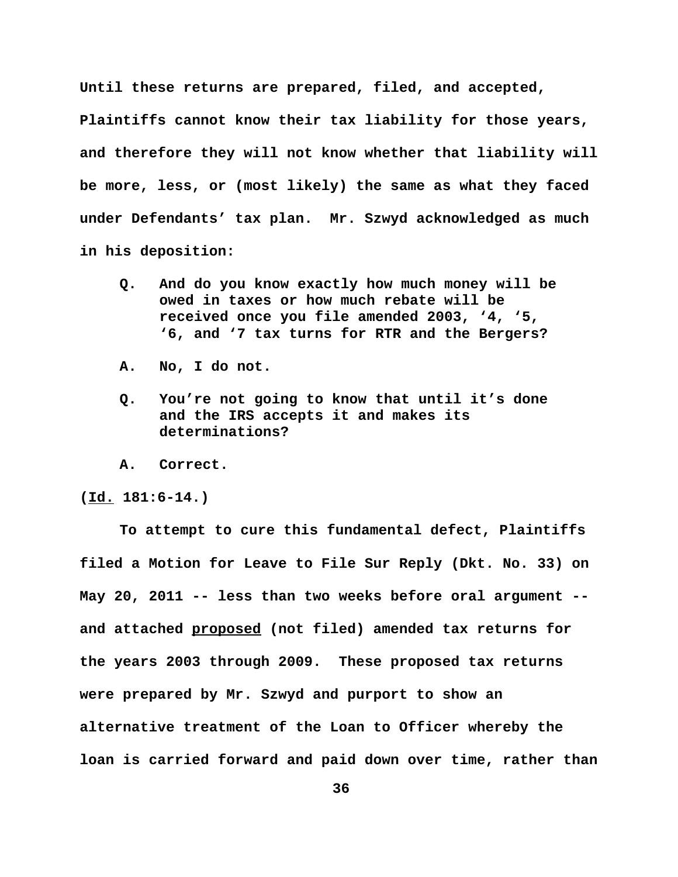**Until these returns are prepared, filed, and accepted,**

**Plaintiffs cannot know their tax liability for those years, and therefore they will not know whether that liability will be more, less, or (most likely) the same as what they faced under Defendants' tax plan. Mr. Szwyd acknowledged as much in his deposition:**

- **Q. And do you know exactly how much money will be owed in taxes or how much rebate will be received once you file amended 2003, '4, '5, '6, and '7 tax turns for RTR and the Bergers?**
- **A. No, I do not.**
- **Q. You're not going to know that until it's done and the IRS accepts it and makes its determinations?**
- **A. Correct.**

**(Id. 181:6-14.)**

**To attempt to cure this fundamental defect, Plaintiffs filed a Motion for Leave to File Sur Reply (Dkt. No. 33) on May 20, 2011 -- less than two weeks before oral argument - and attached proposed (not filed) amended tax returns for the years 2003 through 2009. These proposed tax returns were prepared by Mr. Szwyd and purport to show an alternative treatment of the Loan to Officer whereby the loan is carried forward and paid down over time, rather than**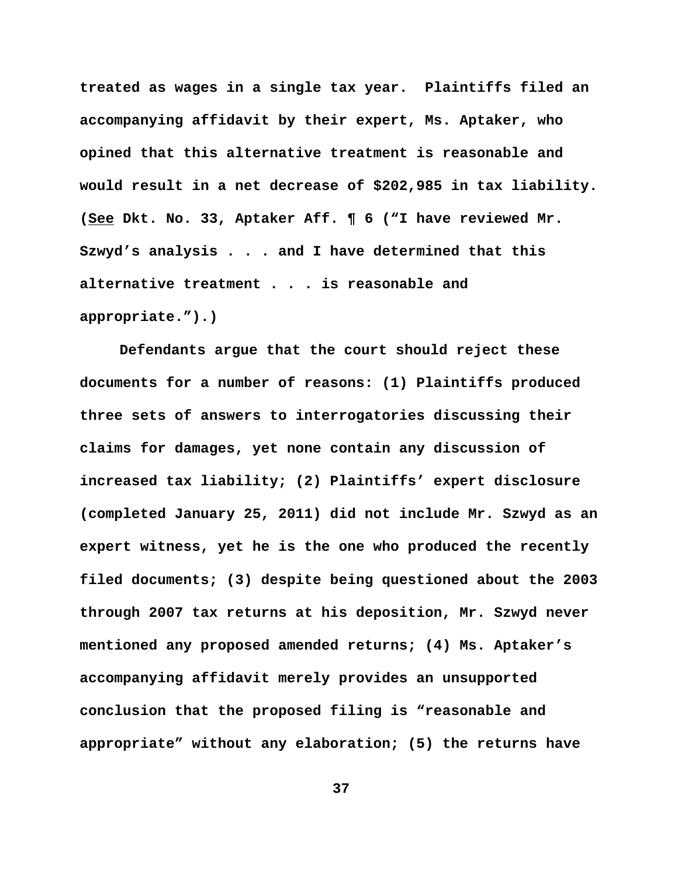**treated as wages in a single tax year. Plaintiffs filed an accompanying affidavit by their expert, Ms. Aptaker, who opined that this alternative treatment is reasonable and would result in a net decrease of \$202,985 in tax liability. (See Dkt. No. 33, Aptaker Aff. ¶ 6 ("I have reviewed Mr. Szwyd's analysis . . . and I have determined that this alternative treatment . . . is reasonable and appropriate.").)**

**Defendants argue that the court should reject these documents for a number of reasons: (1) Plaintiffs produced three sets of answers to interrogatories discussing their claims for damages, yet none contain any discussion of increased tax liability; (2) Plaintiffs' expert disclosure (completed January 25, 2011) did not include Mr. Szwyd as an expert witness, yet he is the one who produced the recently filed documents; (3) despite being questioned about the 2003 through 2007 tax returns at his deposition, Mr. Szwyd never mentioned any proposed amended returns; (4) Ms. Aptaker's accompanying affidavit merely provides an unsupported conclusion that the proposed filing is "reasonable and appropriate" without any elaboration; (5) the returns have**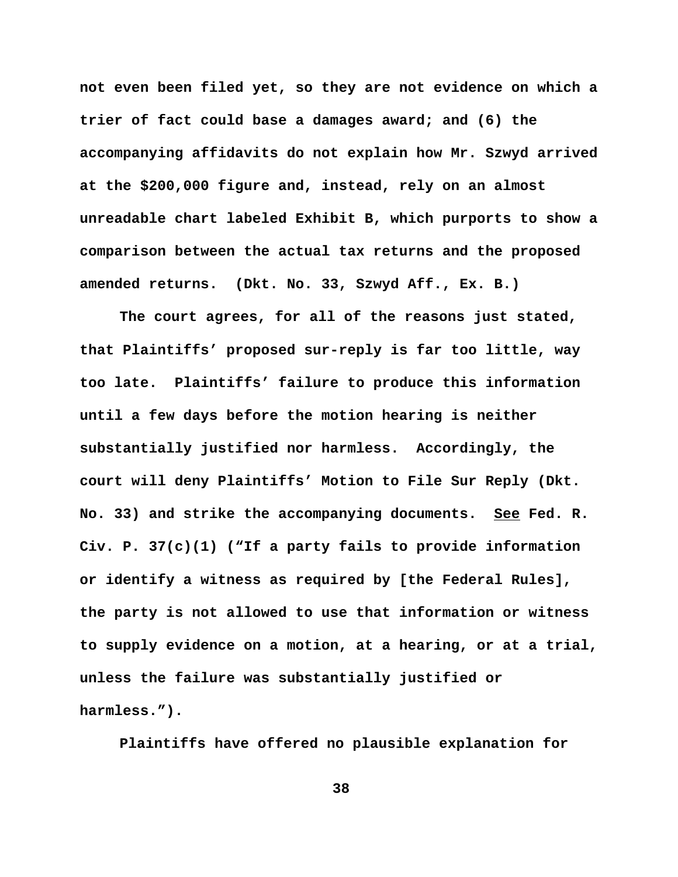**not even been filed yet, so they are not evidence on which a trier of fact could base a damages award; and (6) the accompanying affidavits do not explain how Mr. Szwyd arrived at the \$200,000 figure and, instead, rely on an almost unreadable chart labeled Exhibit B, which purports to show a comparison between the actual tax returns and the proposed amended returns. (Dkt. No. 33, Szwyd Aff., Ex. B.)** 

**The court agrees, for all of the reasons just stated, that Plaintiffs' proposed sur-reply is far too little, way too late. Plaintiffs' failure to produce this information until a few days before the motion hearing is neither substantially justified nor harmless. Accordingly, the court will deny Plaintiffs' Motion to File Sur Reply (Dkt. No. 33) and strike the accompanying documents. See Fed. R. Civ. P. 37(c)(1) ("If a party fails to provide information or identify a witness as required by [the Federal Rules], the party is not allowed to use that information or witness to supply evidence on a motion, at a hearing, or at a trial, unless the failure was substantially justified or harmless.").** 

**Plaintiffs have offered no plausible explanation for**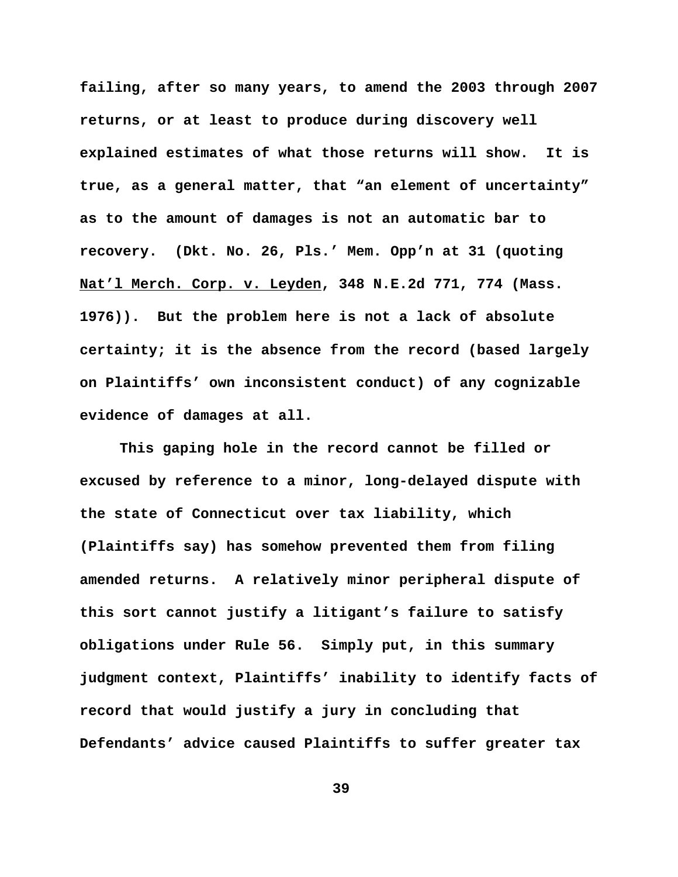**failing, after so many years, to amend the 2003 through 2007 returns, or at least to produce during discovery well explained estimates of what those returns will show. It is true, as a general matter, that "an element of uncertainty" as to the amount of damages is not an automatic bar to recovery. (Dkt. No. 26, Pls.' Mem. Opp'n at 31 (quoting Nat'l Merch. Corp. v. Leyden, 348 N.E.2d 771, 774 (Mass. 1976)). But the problem here is not a lack of absolute certainty; it is the absence from the record (based largely on Plaintiffs' own inconsistent conduct) of any cognizable evidence of damages at all.** 

**This gaping hole in the record cannot be filled or excused by reference to a minor, long-delayed dispute with the state of Connecticut over tax liability, which (Plaintiffs say) has somehow prevented them from filing amended returns. A relatively minor peripheral dispute of this sort cannot justify a litigant's failure to satisfy obligations under Rule 56. Simply put, in this summary judgment context, Plaintiffs' inability to identify facts of record that would justify a jury in concluding that Defendants' advice caused Plaintiffs to suffer greater tax**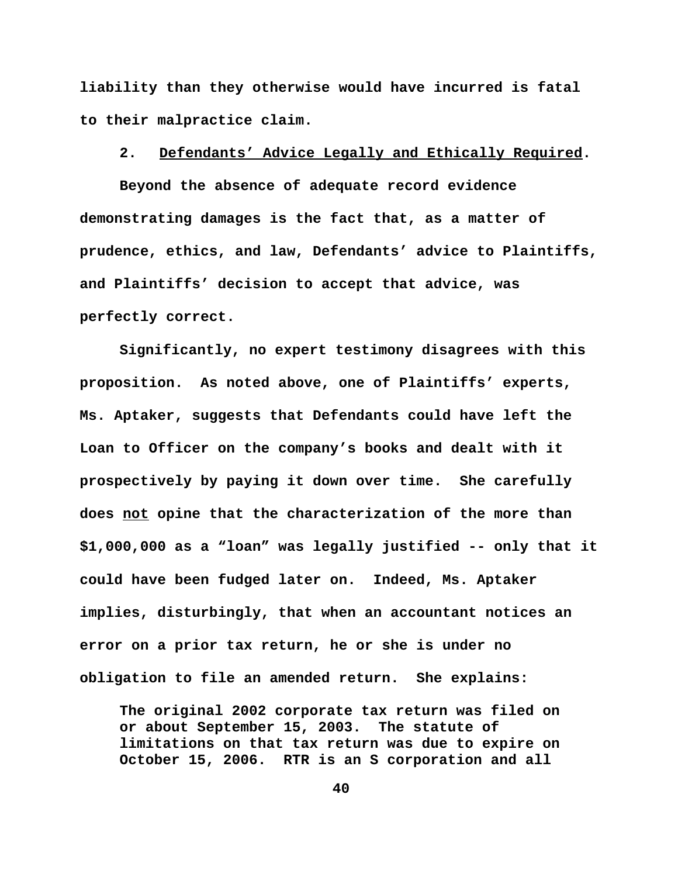**liability than they otherwise would have incurred is fatal to their malpractice claim.** 

### **2. Defendants' Advice Legally and Ethically Required.**

**Beyond the absence of adequate record evidence demonstrating damages is the fact that, as a matter of prudence, ethics, and law, Defendants' advice to Plaintiffs, and Plaintiffs' decision to accept that advice, was perfectly correct.** 

**Significantly, no expert testimony disagrees with this proposition. As noted above, one of Plaintiffs' experts, Ms. Aptaker, suggests that Defendants could have left the Loan to Officer on the company's books and dealt with it prospectively by paying it down over time. She carefully does not opine that the characterization of the more than \$1,000,000 as a "loan" was legally justified -- only that it could have been fudged later on. Indeed, Ms. Aptaker implies, disturbingly, that when an accountant notices an error on a prior tax return, he or she is under no obligation to file an amended return. She explains:**

**The original 2002 corporate tax return was filed on or about September 15, 2003. The statute of limitations on that tax return was due to expire on October 15, 2006. RTR is an S corporation and all**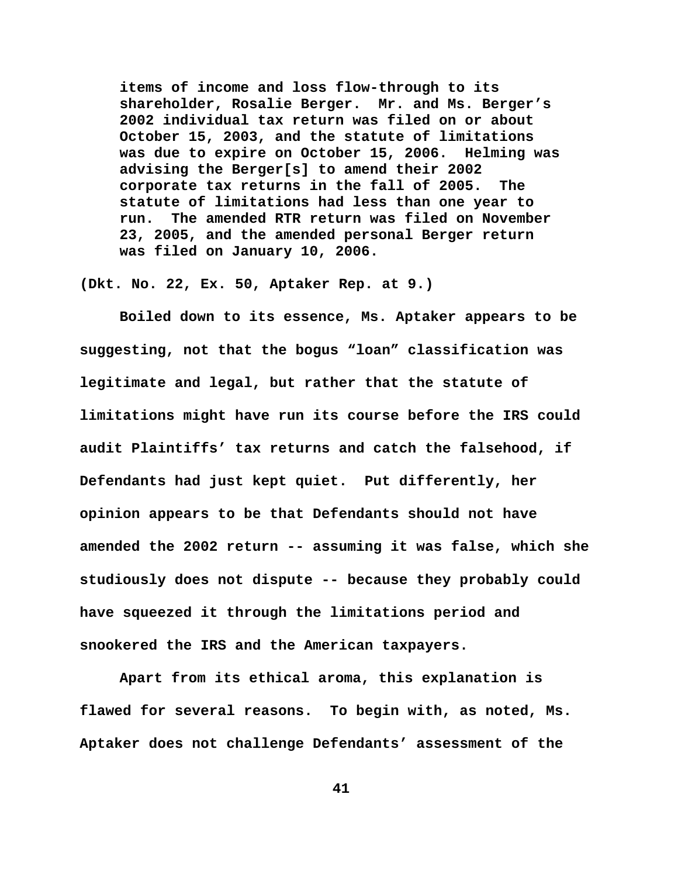**items of income and loss flow-through to its shareholder, Rosalie Berger. Mr. and Ms. Berger's 2002 individual tax return was filed on or about October 15, 2003, and the statute of limitations was due to expire on October 15, 2006. Helming was advising the Berger[s] to amend their 2002 corporate tax returns in the fall of 2005. The statute of limitations had less than one year to run. The amended RTR return was filed on November 23, 2005, and the amended personal Berger return was filed on January 10, 2006.**

**(Dkt. No. 22, Ex. 50, Aptaker Rep. at 9.)** 

**Boiled down to its essence, Ms. Aptaker appears to be suggesting, not that the bogus "loan" classification was legitimate and legal, but rather that the statute of limitations might have run its course before the IRS could audit Plaintiffs' tax returns and catch the falsehood, if Defendants had just kept quiet. Put differently, her opinion appears to be that Defendants should not have amended the 2002 return -- assuming it was false, which she studiously does not dispute -- because they probably could have squeezed it through the limitations period and snookered the IRS and the American taxpayers.** 

**Apart from its ethical aroma, this explanation is flawed for several reasons. To begin with, as noted, Ms. Aptaker does not challenge Defendants' assessment of the**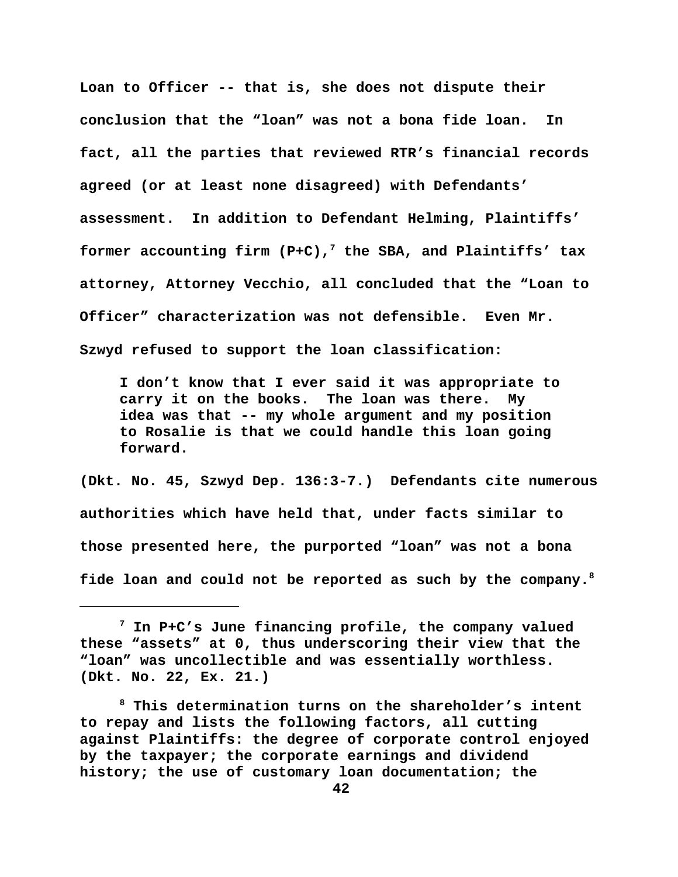**Loan to Officer -- that is, she does not dispute their conclusion that the "loan" was not a bona fide loan. In fact, all the parties that reviewed RTR's financial records agreed (or at least none disagreed) with Defendants' assessment. In addition to Defendant Helming, Plaintiffs' former accounting firm (P+C),7 the SBA, and Plaintiffs' tax attorney, Attorney Vecchio, all concluded that the "Loan to Officer" characterization was not defensible. Even Mr. Szwyd refused to support the loan classification:** 

**I don't know that I ever said it was appropriate to carry it on the books. The loan was there. My idea was that -- my whole argument and my position to Rosalie is that we could handle this loan going forward.**

**(Dkt. No. 45, Szwyd Dep. 136:3-7.) Defendants cite numerous authorities which have held that, under facts similar to those presented here, the purported "loan" was not a bona fide loan and could not be reported as such by the company.8**

**<sup>7</sup> In P+C's June financing profile, the company valued these "assets" at 0, thus underscoring their view that the "loan" was uncollectible and was essentially worthless. (Dkt. No. 22, Ex. 21.)**

**<sup>8</sup> This determination turns on the shareholder's intent to repay and lists the following factors, all cutting against Plaintiffs: the degree of corporate control enjoyed by the taxpayer; the corporate earnings and dividend history; the use of customary loan documentation; the**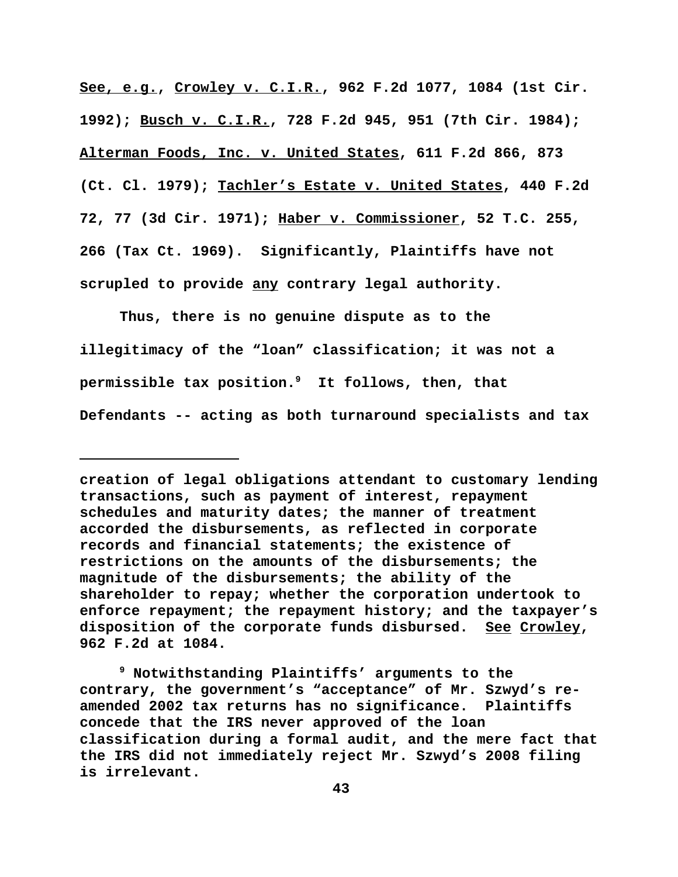**See, e.g., Crowley v. C.I.R., 962 F.2d 1077, 1084 (1st Cir. 1992); Busch v. C.I.R., 728 F.2d 945, 951 (7th Cir. 1984); Alterman Foods, Inc. v. United States, 611 F.2d 866, 873 (Ct. Cl. 1979); Tachler's Estate v. United States, 440 F.2d 72, 77 (3d Cir. 1971); Haber v. Commissioner, 52 T.C. 255, 266 (Tax Ct. 1969). Significantly, Plaintiffs have not scrupled to provide any contrary legal authority.** 

**Thus, there is no genuine dispute as to the illegitimacy of the "loan" classification; it was not a permissible tax position.9 It follows, then, that Defendants -- acting as both turnaround specialists and tax**

**creation of legal obligations attendant to customary lending transactions, such as payment of interest, repayment schedules and maturity dates; the manner of treatment accorded the disbursements, as reflected in corporate records and financial statements; the existence of restrictions on the amounts of the disbursements; the magnitude of the disbursements; the ability of the shareholder to repay; whether the corporation undertook to enforce repayment; the repayment history; and the taxpayer's disposition of the corporate funds disbursed. See Crowley, 962 F.2d at 1084.** 

**<sup>9</sup> Notwithstanding Plaintiffs' arguments to the contrary, the government's "acceptance" of Mr. Szwyd's reamended 2002 tax returns has no significance. Plaintiffs concede that the IRS never approved of the loan classification during a formal audit, and the mere fact that the IRS did not immediately reject Mr. Szwyd's 2008 filing is irrelevant.**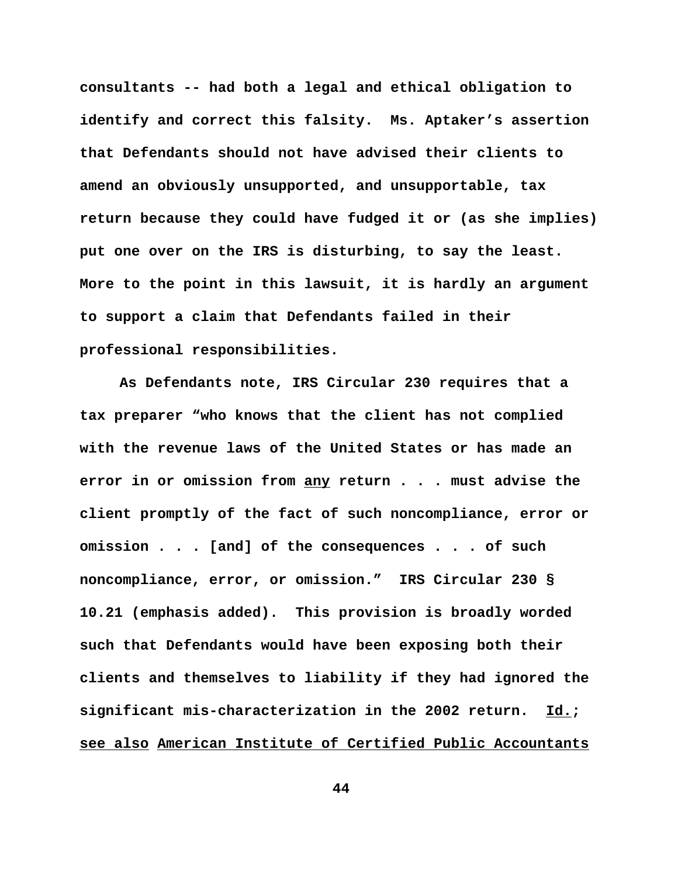**consultants -- had both a legal and ethical obligation to identify and correct this falsity. Ms. Aptaker's assertion that Defendants should not have advised their clients to amend an obviously unsupported, and unsupportable, tax return because they could have fudged it or (as she implies) put one over on the IRS is disturbing, to say the least. More to the point in this lawsuit, it is hardly an argument to support a claim that Defendants failed in their professional responsibilities.** 

**As Defendants note, IRS Circular 230 requires that a tax preparer "who knows that the client has not complied with the revenue laws of the United States or has made an error in or omission from any return . . . must advise the client promptly of the fact of such noncompliance, error or omission . . . [and] of the consequences . . . of such noncompliance, error, or omission." IRS Circular 230 § 10.21 (emphasis added). This provision is broadly worded such that Defendants would have been exposing both their clients and themselves to liability if they had ignored the significant mis-characterization in the 2002 return. Id.; see also American Institute of Certified Public Accountants**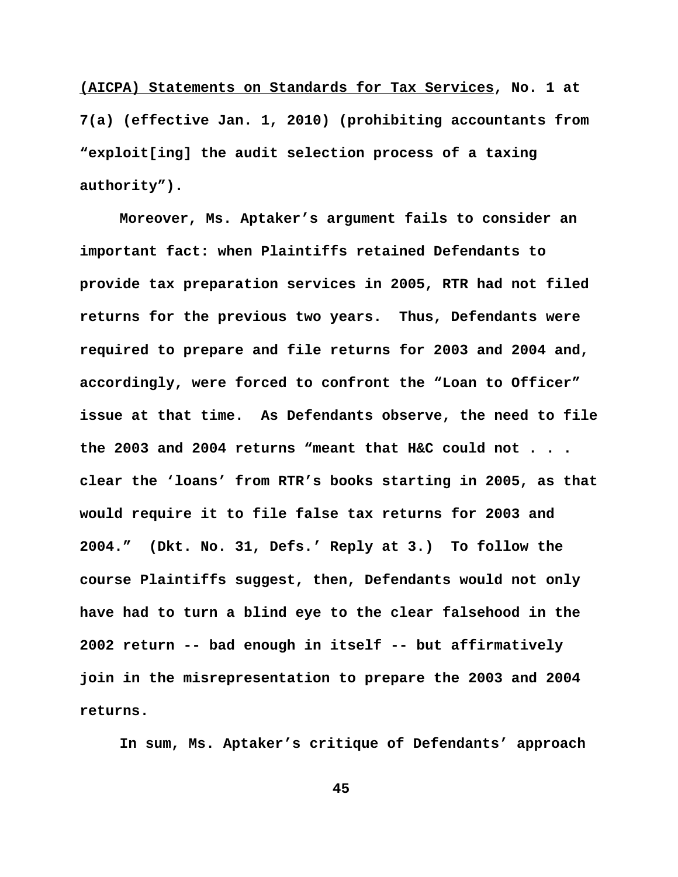**(AICPA) Statements on Standards for Tax Services, No. 1 at 7(a) (effective Jan. 1, 2010) (prohibiting accountants from "exploit[ing] the audit selection process of a taxing authority").**

**Moreover, Ms. Aptaker's argument fails to consider an important fact: when Plaintiffs retained Defendants to provide tax preparation services in 2005, RTR had not filed returns for the previous two years. Thus, Defendants were required to prepare and file returns for 2003 and 2004 and, accordingly, were forced to confront the "Loan to Officer" issue at that time. As Defendants observe, the need to file the 2003 and 2004 returns "meant that H&C could not . . . clear the 'loans' from RTR's books starting in 2005, as that would require it to file false tax returns for 2003 and 2004." (Dkt. No. 31, Defs.' Reply at 3.) To follow the course Plaintiffs suggest, then, Defendants would not only have had to turn a blind eye to the clear falsehood in the 2002 return -- bad enough in itself -- but affirmatively join in the misrepresentation to prepare the 2003 and 2004 returns.**

**In sum, Ms. Aptaker's critique of Defendants' approach**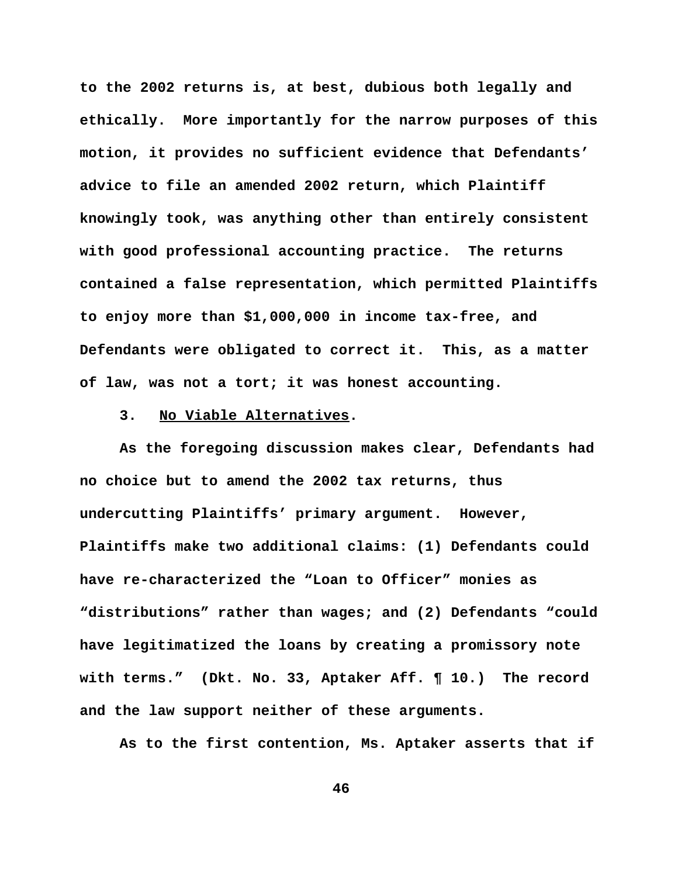**to the 2002 returns is, at best, dubious both legally and ethically. More importantly for the narrow purposes of this motion, it provides no sufficient evidence that Defendants' advice to file an amended 2002 return, which Plaintiff knowingly took, was anything other than entirely consistent with good professional accounting practice. The returns contained a false representation, which permitted Plaintiffs to enjoy more than \$1,000,000 in income tax-free, and Defendants were obligated to correct it. This, as a matter of law, was not a tort; it was honest accounting.** 

### **3. No Viable Alternatives.**

**As the foregoing discussion makes clear, Defendants had no choice but to amend the 2002 tax returns, thus undercutting Plaintiffs' primary argument. However, Plaintiffs make two additional claims: (1) Defendants could have re-characterized the "Loan to Officer" monies as "distributions" rather than wages; and (2) Defendants "could have legitimatized the loans by creating a promissory note with terms." (Dkt. No. 33, Aptaker Aff. ¶ 10.) The record and the law support neither of these arguments.**

**As to the first contention, Ms. Aptaker asserts that if**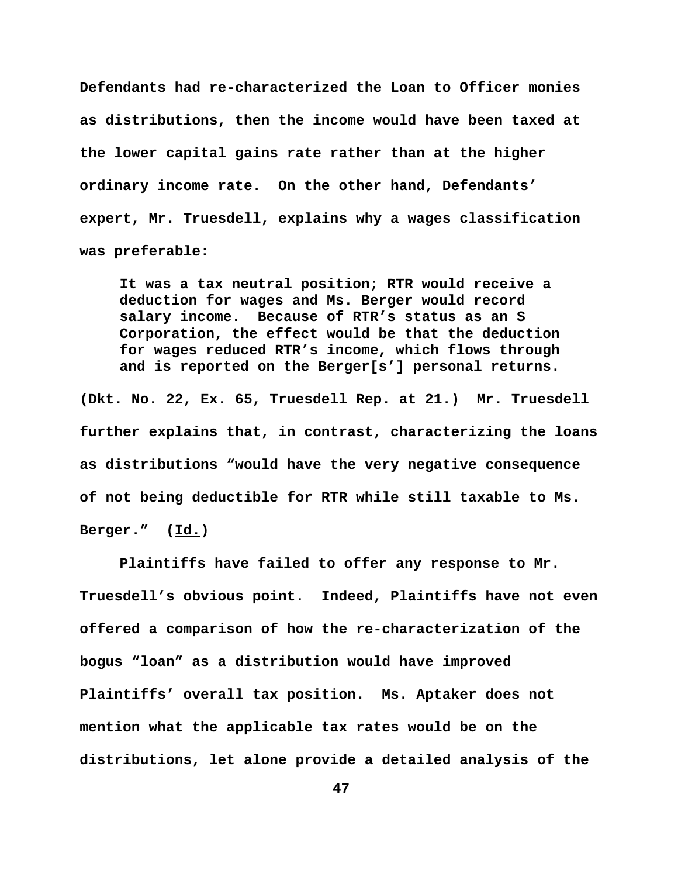**Defendants had re-characterized the Loan to Officer monies as distributions, then the income would have been taxed at the lower capital gains rate rather than at the higher ordinary income rate. On the other hand, Defendants' expert, Mr. Truesdell, explains why a wages classification was preferable:** 

**It was a tax neutral position; RTR would receive a deduction for wages and Ms. Berger would record salary income. Because of RTR's status as an S Corporation, the effect would be that the deduction for wages reduced RTR's income, which flows through and is reported on the Berger[s'] personal returns.**

**(Dkt. No. 22, Ex. 65, Truesdell Rep. at 21.) Mr. Truesdell further explains that, in contrast, characterizing the loans as distributions "would have the very negative consequence of not being deductible for RTR while still taxable to Ms. Berger." (Id.)** 

**Plaintiffs have failed to offer any response to Mr. Truesdell's obvious point. Indeed, Plaintiffs have not even offered a comparison of how the re-characterization of the bogus "loan" as a distribution would have improved Plaintiffs' overall tax position. Ms. Aptaker does not mention what the applicable tax rates would be on the distributions, let alone provide a detailed analysis of the**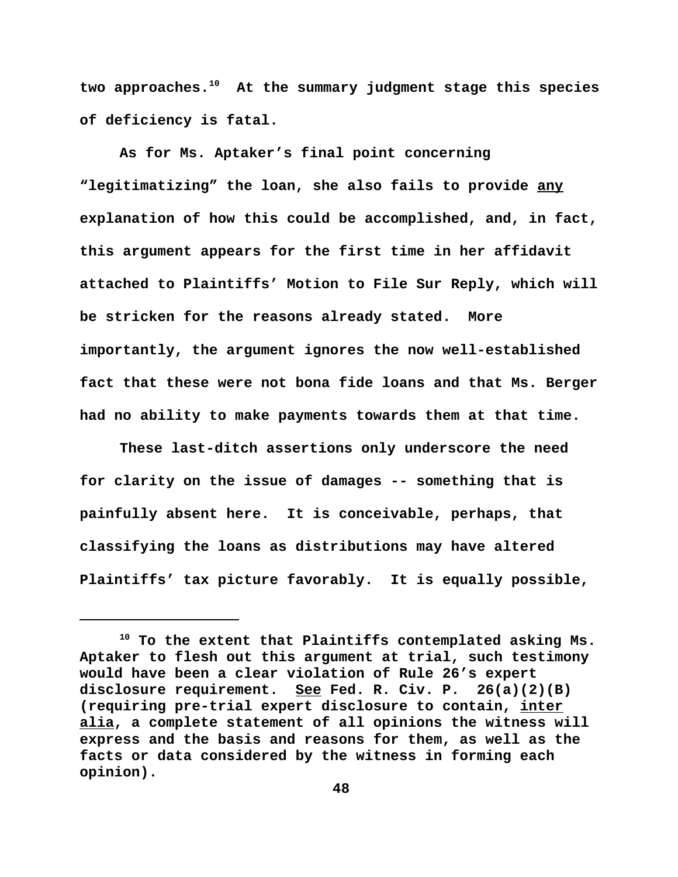**two approaches.10 At the summary judgment stage this species of deficiency is fatal.** 

**As for Ms. Aptaker's final point concerning "legitimatizing" the loan, she also fails to provide any explanation of how this could be accomplished, and, in fact, this argument appears for the first time in her affidavit attached to Plaintiffs' Motion to File Sur Reply, which will be stricken for the reasons already stated. More importantly, the argument ignores the now well-established fact that these were not bona fide loans and that Ms. Berger had no ability to make payments towards them at that time.**

**These last-ditch assertions only underscore the need for clarity on the issue of damages -- something that is painfully absent here. It is conceivable, perhaps, that classifying the loans as distributions may have altered Plaintiffs' tax picture favorably. It is equally possible,**

**<sup>10</sup> To the extent that Plaintiffs contemplated asking Ms. Aptaker to flesh out this argument at trial, such testimony would have been a clear violation of Rule 26's expert disclosure requirement. See Fed. R. Civ. P. 26(a)(2)(B) (requiring pre-trial expert disclosure to contain, inter alia, a complete statement of all opinions the witness will express and the basis and reasons for them, as well as the facts or data considered by the witness in forming each opinion).**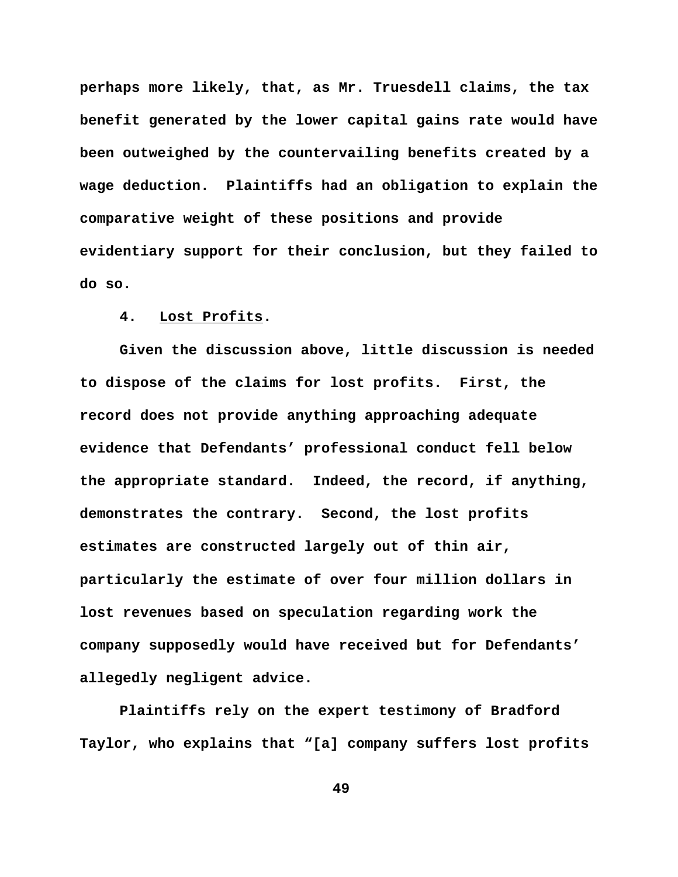**perhaps more likely, that, as Mr. Truesdell claims, the tax benefit generated by the lower capital gains rate would have been outweighed by the countervailing benefits created by a wage deduction. Plaintiffs had an obligation to explain the comparative weight of these positions and provide evidentiary support for their conclusion, but they failed to do so.** 

# **4. Lost Profits.**

**Given the discussion above, little discussion is needed to dispose of the claims for lost profits. First, the record does not provide anything approaching adequate evidence that Defendants' professional conduct fell below the appropriate standard. Indeed, the record, if anything, demonstrates the contrary. Second, the lost profits estimates are constructed largely out of thin air, particularly the estimate of over four million dollars in lost revenues based on speculation regarding work the company supposedly would have received but for Defendants' allegedly negligent advice.**

**Plaintiffs rely on the expert testimony of Bradford Taylor, who explains that "[a] company suffers lost profits**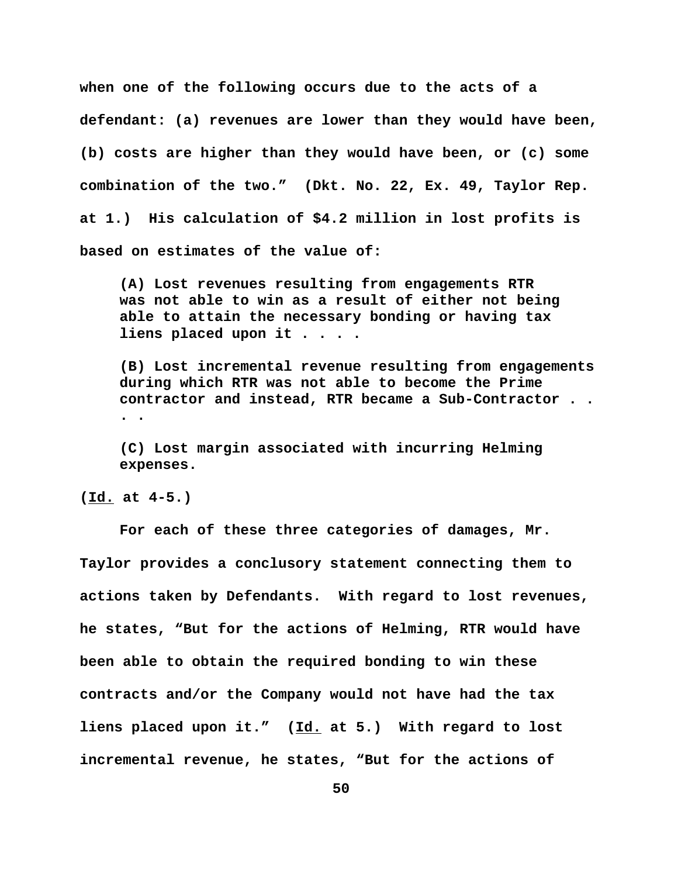**when one of the following occurs due to the acts of a defendant: (a) revenues are lower than they would have been,**

**(b) costs are higher than they would have been, or (c) some combination of the two." (Dkt. No. 22, Ex. 49, Taylor Rep. at 1.) His calculation of \$4.2 million in lost profits is based on estimates of the value of:**

**(A) Lost revenues resulting from engagements RTR was not able to win as a result of either not being able to attain the necessary bonding or having tax liens placed upon it . . . .**

**(B) Lost incremental revenue resulting from engagements during which RTR was not able to become the Prime contractor and instead, RTR became a Sub-Contractor . . . .**

**(C) Lost margin associated with incurring Helming expenses.**

**(Id. at 4-5.)** 

**For each of these three categories of damages, Mr. Taylor provides a conclusory statement connecting them to actions taken by Defendants. With regard to lost revenues, he states, "But for the actions of Helming, RTR would have been able to obtain the required bonding to win these contracts and/or the Company would not have had the tax liens placed upon it." (Id. at 5.) With regard to lost incremental revenue, he states, "But for the actions of**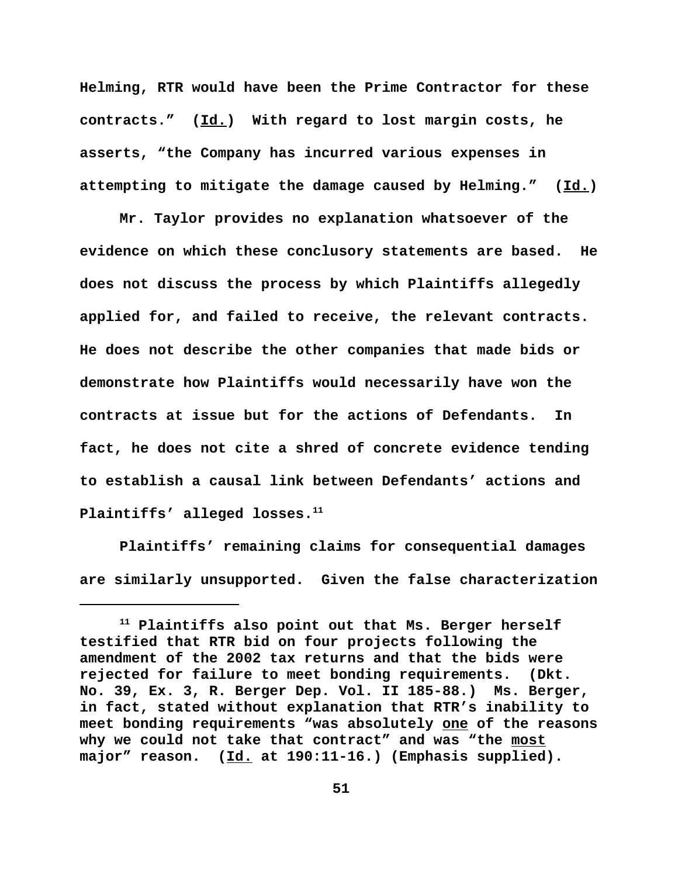**Helming, RTR would have been the Prime Contractor for these contracts." (Id.) With regard to lost margin costs, he asserts, "the Company has incurred various expenses in attempting to mitigate the damage caused by Helming." (Id.)** 

**Mr. Taylor provides no explanation whatsoever of the evidence on which these conclusory statements are based. He does not discuss the process by which Plaintiffs allegedly applied for, and failed to receive, the relevant contracts. He does not describe the other companies that made bids or demonstrate how Plaintiffs would necessarily have won the contracts at issue but for the actions of Defendants. In fact, he does not cite a shred of concrete evidence tending to establish a causal link between Defendants' actions and** Plaintiffs' alleged losses.<sup>11</sup>

**Plaintiffs' remaining claims for consequential damages are similarly unsupported. Given the false characterization**

**<sup>11</sup> Plaintiffs also point out that Ms. Berger herself testified that RTR bid on four projects following the amendment of the 2002 tax returns and that the bids were rejected for failure to meet bonding requirements. (Dkt. No. 39, Ex. 3, R. Berger Dep. Vol. II 185-88.) Ms. Berger, in fact, stated without explanation that RTR's inability to meet bonding requirements "was absolutely one of the reasons why we could not take that contract" and was "the most major" reason. (Id. at 190:11-16.) (Emphasis supplied).**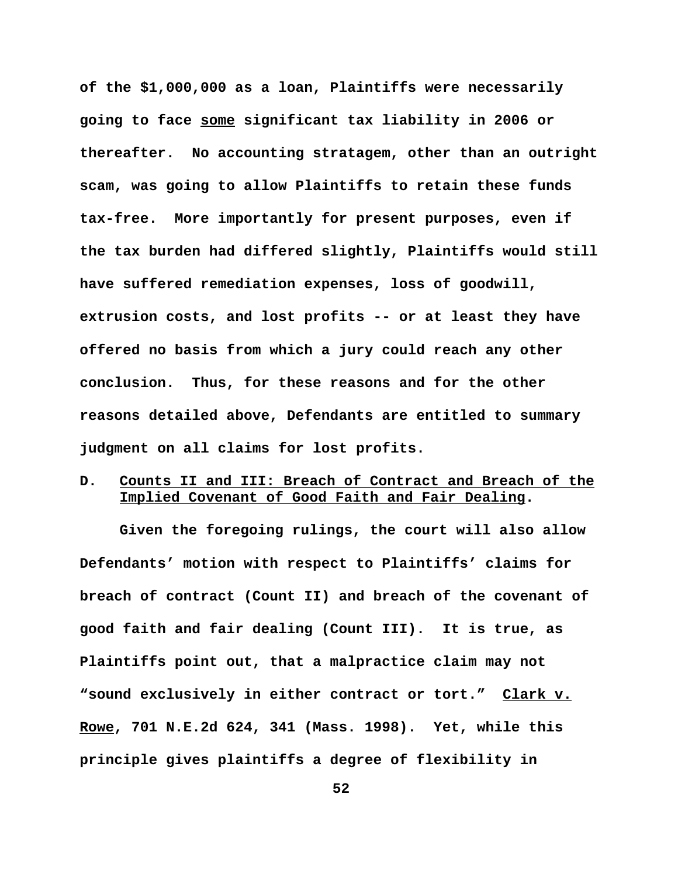**of the \$1,000,000 as a loan, Plaintiffs were necessarily going to face some significant tax liability in 2006 or thereafter. No accounting stratagem, other than an outright scam, was going to allow Plaintiffs to retain these funds tax-free. More importantly for present purposes, even if the tax burden had differed slightly, Plaintiffs would still have suffered remediation expenses, loss of goodwill, extrusion costs, and lost profits -- or at least they have offered no basis from which a jury could reach any other conclusion. Thus, for these reasons and for the other reasons detailed above, Defendants are entitled to summary judgment on all claims for lost profits.**

# **D. Counts II and III: Breach of Contract and Breach of the Implied Covenant of Good Faith and Fair Dealing.**

**Given the foregoing rulings, the court will also allow Defendants' motion with respect to Plaintiffs' claims for breach of contract (Count II) and breach of the covenant of good faith and fair dealing (Count III). It is true, as Plaintiffs point out, that a malpractice claim may not "sound exclusively in either contract or tort." Clark v. Rowe, 701 N.E.2d 624, 341 (Mass. 1998). Yet, while this principle gives plaintiffs a degree of flexibility in**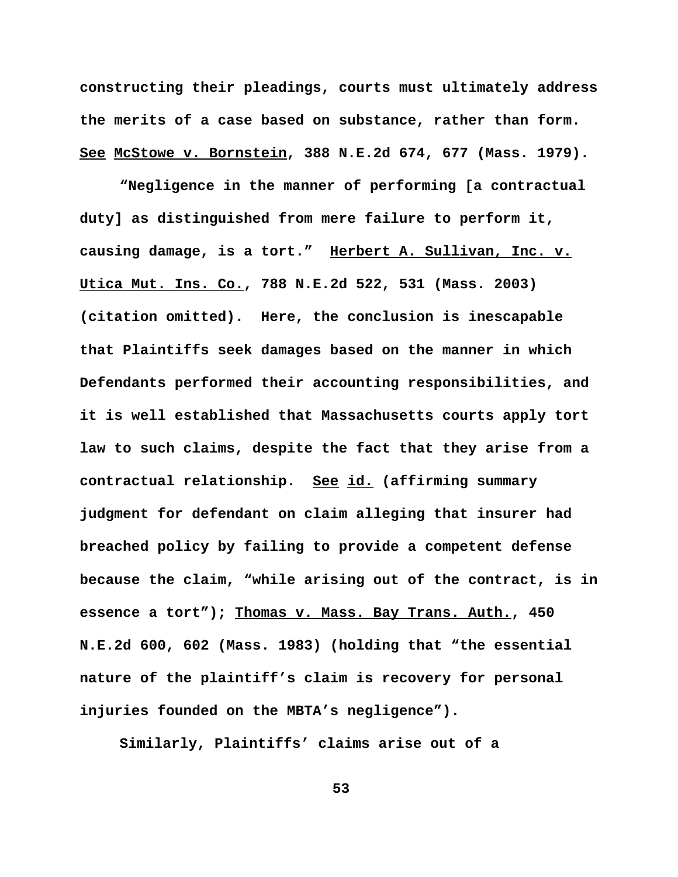**constructing their pleadings, courts must ultimately address the merits of a case based on substance, rather than form. See McStowe v. Bornstein, 388 N.E.2d 674, 677 (Mass. 1979).** 

**"Negligence in the manner of performing [a contractual duty] as distinguished from mere failure to perform it, causing damage, is a tort." Herbert A. Sullivan, Inc. v. Utica Mut. Ins. Co., 788 N.E.2d 522, 531 (Mass. 2003) (citation omitted). Here, the conclusion is inescapable that Plaintiffs seek damages based on the manner in which Defendants performed their accounting responsibilities, and it is well established that Massachusetts courts apply tort law to such claims, despite the fact that they arise from a contractual relationship. See id. (affirming summary judgment for defendant on claim alleging that insurer had breached policy by failing to provide a competent defense because the claim, "while arising out of the contract, is in essence a tort"); Thomas v. Mass. Bay Trans. Auth., 450 N.E.2d 600, 602 (Mass. 1983) (holding that "the essential nature of the plaintiff's claim is recovery for personal injuries founded on the MBTA's negligence").** 

**Similarly, Plaintiffs' claims arise out of a**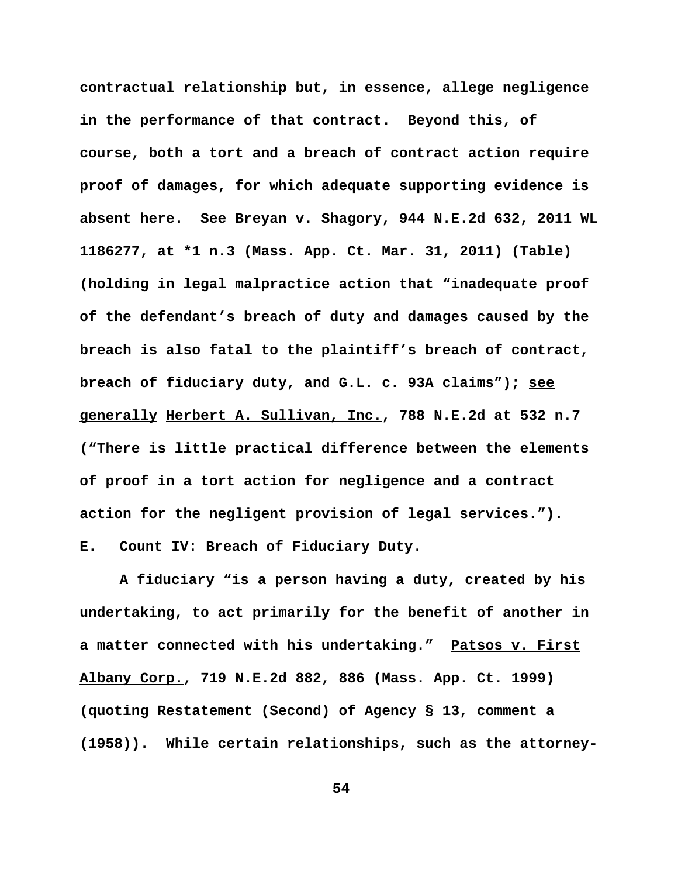**contractual relationship but, in essence, allege negligence in the performance of that contract. Beyond this, of course, both a tort and a breach of contract action require proof of damages, for which adequate supporting evidence is absent here. See Breyan v. Shagory, 944 N.E.2d 632, 2011 WL 1186277, at \*1 n.3 (Mass. App. Ct. Mar. 31, 2011) (Table) (holding in legal malpractice action that "inadequate proof of the defendant's breach of duty and damages caused by the breach is also fatal to the plaintiff's breach of contract, breach of fiduciary duty, and G.L. c. 93A claims"); see generally Herbert A. Sullivan, Inc., 788 N.E.2d at 532 n.7 ("There is little practical difference between the elements of proof in a tort action for negligence and a contract action for the negligent provision of legal services.").** 

# **E. Count IV: Breach of Fiduciary Duty.**

**A fiduciary "is a person having a duty, created by his undertaking, to act primarily for the benefit of another in a matter connected with his undertaking." Patsos v. First Albany Corp., 719 N.E.2d 882, 886 (Mass. App. Ct. 1999) (quoting Restatement (Second) of Agency § 13, comment a (1958)). While certain relationships, such as the attorney-**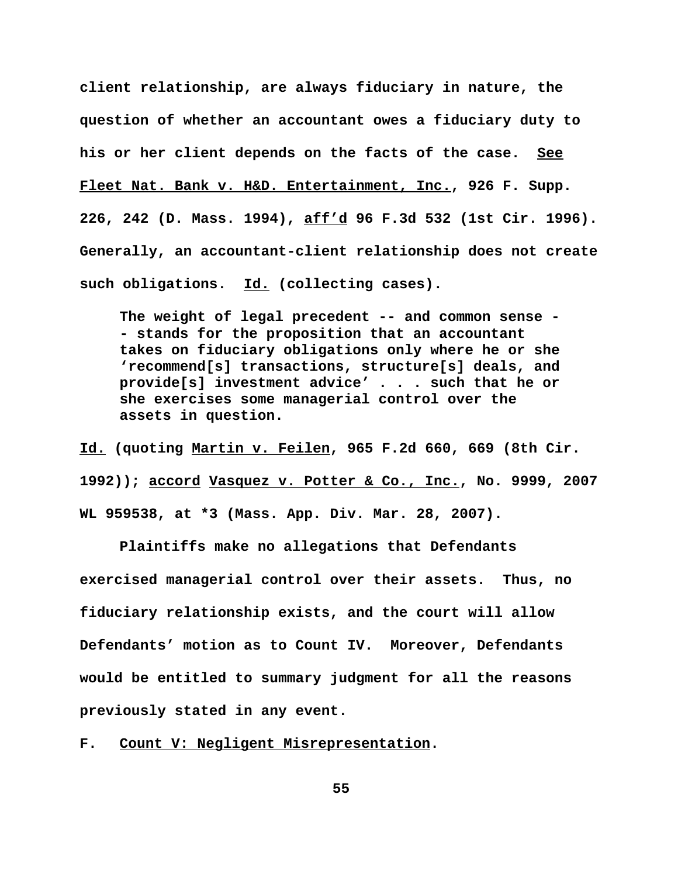**client relationship, are always fiduciary in nature, the question of whether an accountant owes a fiduciary duty to his or her client depends on the facts of the case. See Fleet Nat. Bank v. H&D. Entertainment, Inc., 926 F. Supp. 226, 242 (D. Mass. 1994), aff'd 96 F.3d 532 (1st Cir. 1996). Generally, an accountant-client relationship does not create such obligations. Id. (collecting cases).** 

**The weight of legal precedent -- and common sense - - stands for the proposition that an accountant takes on fiduciary obligations only where he or she 'recommend[s] transactions, structure[s] deals, and provide[s] investment advice' . . . such that he or she exercises some managerial control over the assets in question.**

**Id. (quoting Martin v. Feilen, 965 F.2d 660, 669 (8th Cir. 1992)); accord Vasquez v. Potter & Co., Inc., No. 9999, 2007 WL 959538, at \*3 (Mass. App. Div. Mar. 28, 2007).**

**Plaintiffs make no allegations that Defendants exercised managerial control over their assets. Thus, no fiduciary relationship exists, and the court will allow Defendants' motion as to Count IV. Moreover, Defendants would be entitled to summary judgment for all the reasons previously stated in any event.**

**F. Count V: Negligent Misrepresentation.**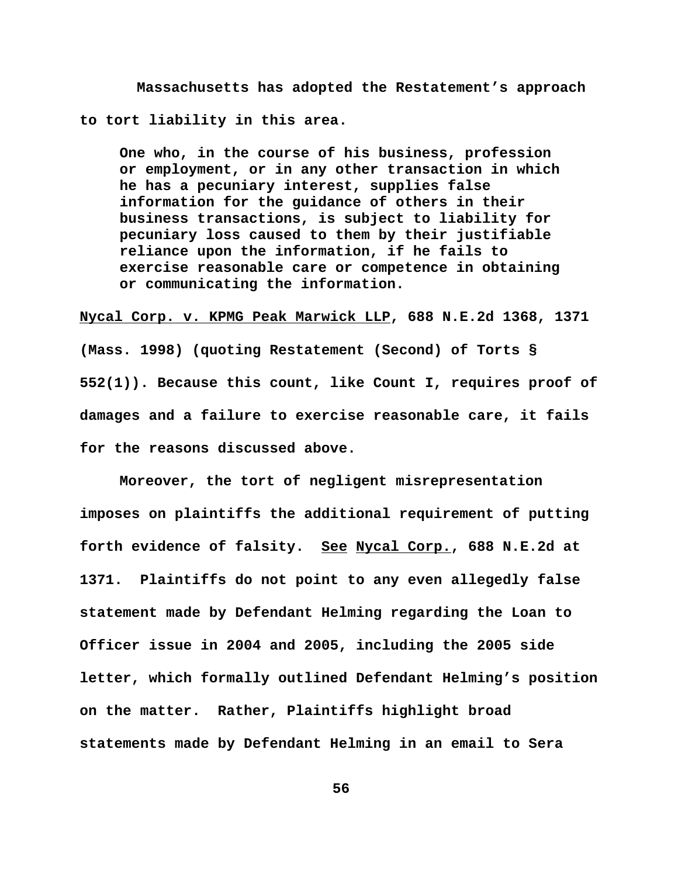**Massachusetts has adopted the Restatement's approach to tort liability in this area.**

**One who, in the course of his business, profession or employment, or in any other transaction in which he has a pecuniary interest, supplies false information for the guidance of others in their business transactions, is subject to liability for pecuniary loss caused to them by their justifiable reliance upon the information, if he fails to exercise reasonable care or competence in obtaining or communicating the information.**

**Nycal Corp. v. KPMG Peak Marwick LLP, 688 N.E.2d 1368, 1371**

**(Mass. 1998) (quoting Restatement (Second) of Torts § 552(1)). Because this count, like Count I, requires proof of damages and a failure to exercise reasonable care, it fails for the reasons discussed above.** 

**Moreover, the tort of negligent misrepresentation imposes on plaintiffs the additional requirement of putting forth evidence of falsity. See Nycal Corp., 688 N.E.2d at 1371. Plaintiffs do not point to any even allegedly false statement made by Defendant Helming regarding the Loan to Officer issue in 2004 and 2005, including the 2005 side letter, which formally outlined Defendant Helming's position on the matter. Rather, Plaintiffs highlight broad statements made by Defendant Helming in an email to Sera**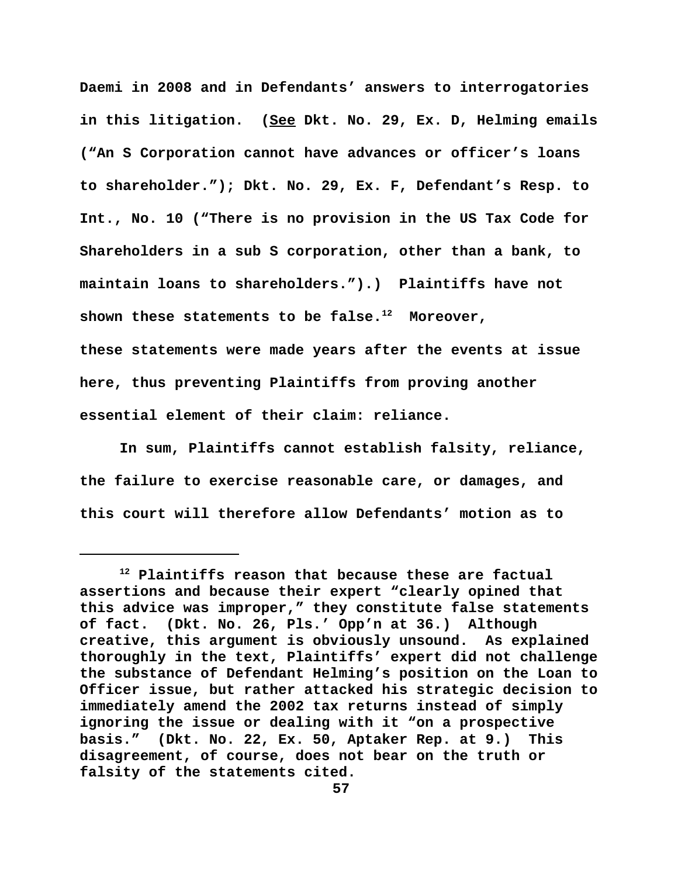**Daemi in 2008 and in Defendants' answers to interrogatories in this litigation. (See Dkt. No. 29, Ex. D, Helming emails ("An S Corporation cannot have advances or officer's loans to shareholder."); Dkt. No. 29, Ex. F, Defendant's Resp. to Int., No. 10 ("There is no provision in the US Tax Code for Shareholders in a sub S corporation, other than a bank, to maintain loans to shareholders.").) Plaintiffs have not** shown these statements to be false.<sup>12</sup> Moreover, **these statements were made years after the events at issue here, thus preventing Plaintiffs from proving another**

**essential element of their claim: reliance.**

**In sum, Plaintiffs cannot establish falsity, reliance, the failure to exercise reasonable care, or damages, and this court will therefore allow Defendants' motion as to**

**<sup>12</sup> Plaintiffs reason that because these are factual assertions and because their expert "clearly opined that this advice was improper," they constitute false statements of fact. (Dkt. No. 26, Pls.' Opp'n at 36.) Although creative, this argument is obviously unsound. As explained thoroughly in the text, Plaintiffs' expert did not challenge the substance of Defendant Helming's position on the Loan to Officer issue, but rather attacked his strategic decision to immediately amend the 2002 tax returns instead of simply ignoring the issue or dealing with it "on a prospective basis." (Dkt. No. 22, Ex. 50, Aptaker Rep. at 9.) This disagreement, of course, does not bear on the truth or falsity of the statements cited.**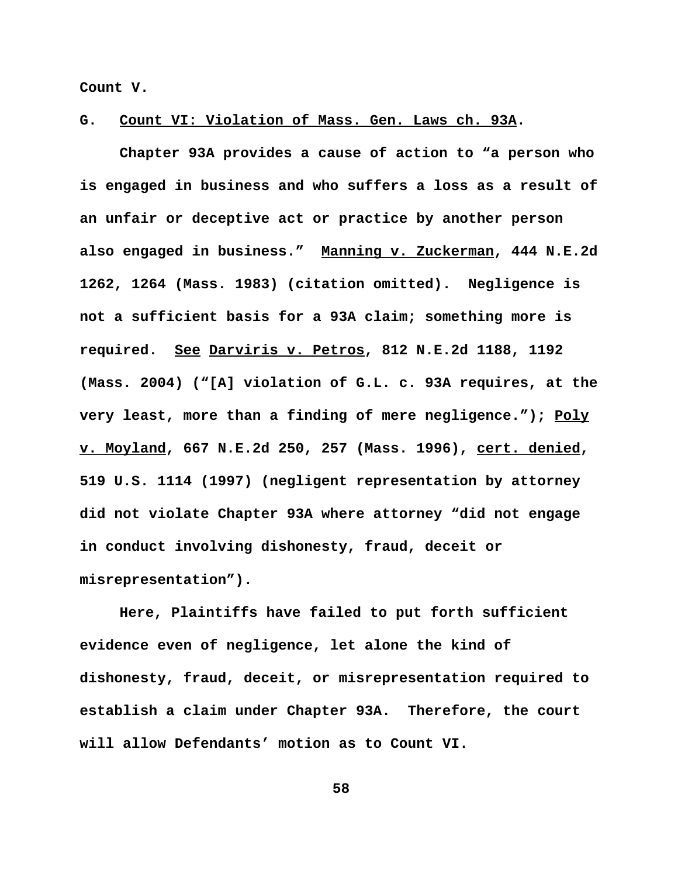**Count V.** 

**G. Count VI: Violation of Mass. Gen. Laws ch. 93A.**

**Chapter 93A provides a cause of action to "a person who is engaged in business and who suffers a loss as a result of an unfair or deceptive act or practice by another person also engaged in business." Manning v. Zuckerman, 444 N.E.2d 1262, 1264 (Mass. 1983) (citation omitted). Negligence is not a sufficient basis for a 93A claim; something more is required. See Darviris v. Petros, 812 N.E.2d 1188, 1192 (Mass. 2004) ("[A] violation of G.L. c. 93A requires, at the very least, more than a finding of mere negligence."); Poly v. Moyland, 667 N.E.2d 250, 257 (Mass. 1996), cert. denied, 519 U.S. 1114 (1997) (negligent representation by attorney did not violate Chapter 93A where attorney "did not engage in conduct involving dishonesty, fraud, deceit or misrepresentation").** 

**Here, Plaintiffs have failed to put forth sufficient evidence even of negligence, let alone the kind of dishonesty, fraud, deceit, or misrepresentation required to establish a claim under Chapter 93A. Therefore, the court will allow Defendants' motion as to Count VI.**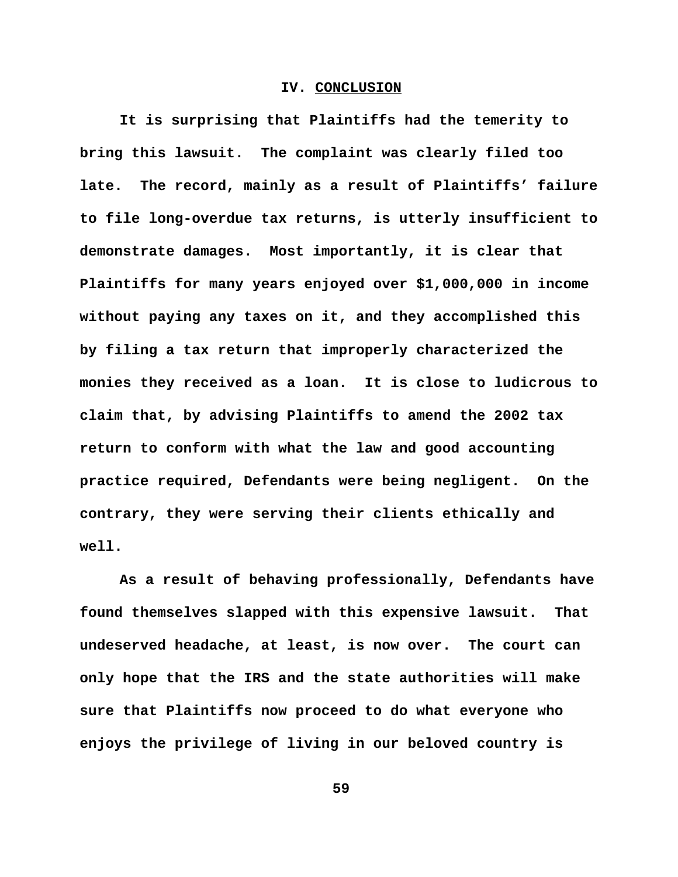#### **IV. CONCLUSION**

**It is surprising that Plaintiffs had the temerity to bring this lawsuit. The complaint was clearly filed too late. The record, mainly as a result of Plaintiffs' failure to file long-overdue tax returns, is utterly insufficient to demonstrate damages. Most importantly, it is clear that Plaintiffs for many years enjoyed over \$1,000,000 in income without paying any taxes on it, and they accomplished this by filing a tax return that improperly characterized the monies they received as a loan. It is close to ludicrous to claim that, by advising Plaintiffs to amend the 2002 tax return to conform with what the law and good accounting practice required, Defendants were being negligent. On the contrary, they were serving their clients ethically and well.** 

**As a result of behaving professionally, Defendants have found themselves slapped with this expensive lawsuit. That undeserved headache, at least, is now over. The court can only hope that the IRS and the state authorities will make sure that Plaintiffs now proceed to do what everyone who enjoys the privilege of living in our beloved country is**